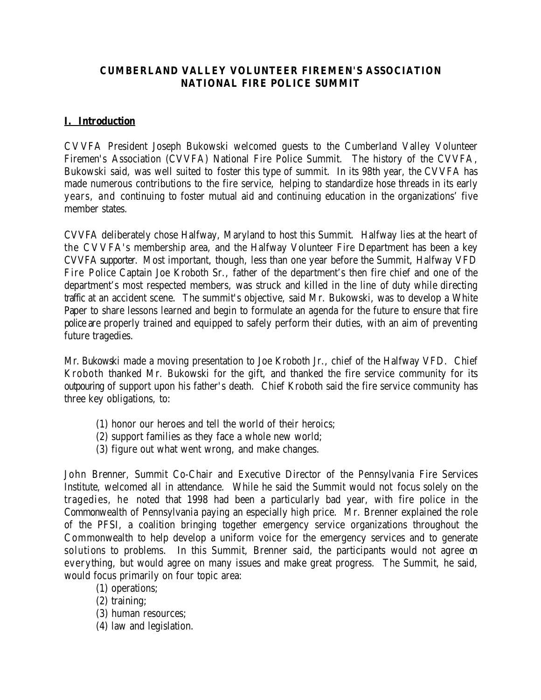### **CUMBERLAND VALLEY VOLUNTEER FIREMEN'S ASSOCIATION NATIONAL FIRE POLICE SUMMIT**

# **I. Introduction**

CVVFA President Joseph Bukowski welcomed guests to the Cumberland Valley Volunteer Firemen's Association (CVVFA) National Fire Police Summit. The history of the CVVFA, Bukowski said, was well suited to foster this type of summit. In its 98th year, the CVVFA has made numerous contributions to the fire service, helping to standardize hose threads in its early years, and continuing to foster mutual aid and continuing education in the organizations' five member states.

CVVFA deliberately chose Halfway, Maryland to host this Summit. Halfway lies at the heart of the CVVFA's membership area, and the Halfway Volunteer Fire Department has been a key CVVFA supporter. Most important, though, less than one year before the Summit, Halfway VFD Fire Police Captain Joe Kroboth Sr., father of the department's then fire chief and one of the department's most respected members, was struck and killed in the line of duty while directing traffic at an accident scene. The summit's objective, said Mr. Bukowski, was to develop a White Paper to share lessons learned and begin to formulate an agenda for the future to ensure that fire police are properly trained and equipped to safely perform their duties, with an aim of preventing future tragedies.

Mr. Bukowski made a moving presentation to Joe Kroboth Jr., chief of the Halfway VFD. Chief Kroboth thanked Mr. Bukowski for the gift, and thanked the fire service community for its outpouring of support upon his father's death. Chief Kroboth said the fire service community has three key obligations, to:

- (1) honor our heroes and tell the world of their heroics;
- (2) support families as they face a whole new world;
- (3) figure out what went wrong, and make changes.

John Brenner, Summit Co-Chair and Executive Director of the Pennsylvania Fire Services Institute, welcomed all in attendance. While he said the Summit would not focus solely on the tragedies, he noted that 1998 had been a particularly bad year, with fire police in the Commonwealth of Pennsylvania paying an especially high price. Mr. Brenner explained the role of the PFSI, a coalition bringing together emergency service organizations throughout the Commonwealth to help develop a uniform voice for the emergency services and to generate solutions to problems. In this Summit, Brenner said, the participants would not agree on everything, but would agree on many issues and make great progress. The Summit, he said, would focus primarily on four topic area:

- (1) operations;
- (2) training;
- (3) human resources;
- (4) law and legislation.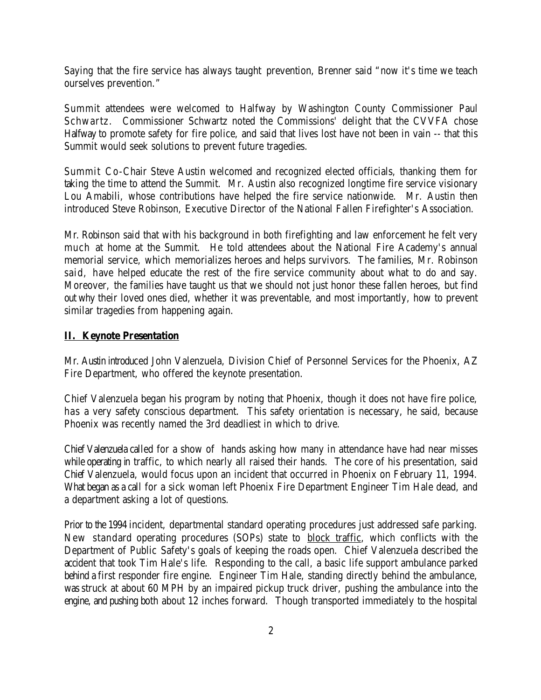Saying that the fire service has always taught prevention, Brenner said "now it's time we teach ourselves prevention."

Summit attendees were welcomed to Halfway by Washington County Commissioner Paul Schwartz. Commissioner Schwartz noted the Commissions' delight that the CVVFA chose Halfway to promote safety for fire police, and said that lives lost have not been in vain -- that this Summit would seek solutions to prevent future tragedies.

Summit Co-Chair Steve Austin welcomed and recognized elected officials, thanking them for taking the time to attend the Summit. Mr. Austin also recognized longtime fire service visionary Lou Amabili, whose contributions have helped the fire service nationwide. Mr. Austin then introduced Steve Robinson, Executive Director of the National Fallen Firefighter's Association.

Mr. Robinson said that with his background in both firefighting and law enforcement he felt very much at home at the Summit. He told attendees about the National Fire Academy's annual memorial service, which memorializes heroes and helps survivors. The families, Mr. Robinson said, have helped educate the rest of the fire service community about what to do and say. Moreover, the families have taught us that we should not just honor these fallen heroes, but find out why their loved ones died, whether it was preventable, and most importantly, how to prevent similar tragedies from happening again.

### **II. Keynote Presentation**

Mr. Austin introduced John Valenzuela, Division Chief of Personnel Services for the Phoenix, AZ Fire Department, who offered the keynote presentation.

Chief Valenzuela began his program by noting that Phoenix, though it does not have fire police, has a very safety conscious department. This safety orientation is necessary, he said, because Phoenix was recently named the 3rd deadliest in which to drive.

Chief Valenzuela called for a show of hands asking how many in attendance have had near misses while operating in traffic, to which nearly all raised their hands. The core of his presentation, said Chief Valenzuela, would focus upon an incident that occurred in Phoenix on February 11, 1994. What began as a call for a sick woman left Phoenix Fire Department Engineer Tim Hale dead, and a department asking a lot of questions.

Prior to the 1994 incident, departmental standard operating procedures just addressed safe parking. New standard operating procedures (SOPs) state to block traffic, which conflicts with the Department of Public Safety's goals of keeping the roads open. Chief Valenzuela described the accident that took Tim Hale's life. Responding to the call, a basic life support ambulance parked behind a first responder fire engine. Engineer Tim Hale, standing directly behind the ambulance, was struck at about 60 MPH by an impaired pickup truck driver, pushing the ambulance into the engine, and pushing both about 12 inches forward. Though transported immediately to the hospital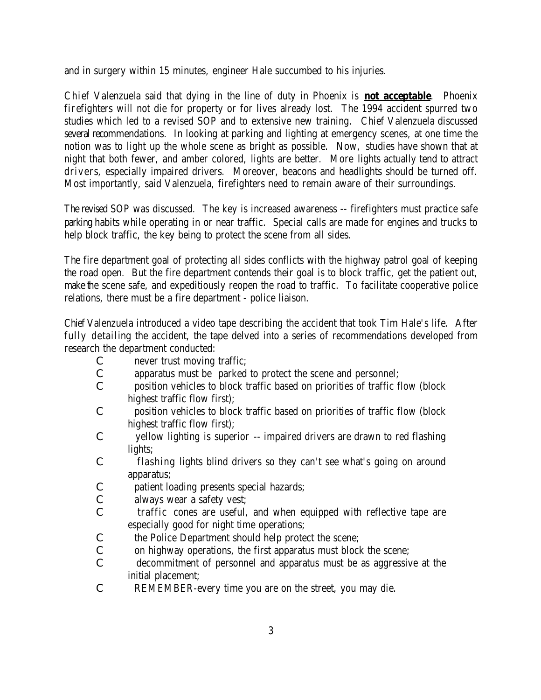and in surgery within 15 minutes, engineer Hale succumbed to his injuries.

Chief Valenzuela said that dying in the line of duty in Phoenix is **not acceptable**. Phoenix firefighters will not die for property or for lives already lost. The 1994 accident spurred two studies which led to a revised SOP and to extensive new training. Chief Valenzuela discussed several recommendations. In looking at parking and lighting at emergency scenes, at one time the notion was to light up the whole scene as bright as possible. Now, studies have shown that at night that both fewer, and amber colored, lights are better. More lights actually tend to attract drivers, especially impaired drivers. Moreover, beacons and headlights should be turned off. Most importantly, said Valenzuela, firefighters need to remain aware of their surroundings.

The revised SOP was discussed. The key is increased awareness -- firefighters must practice safe parking habits while operating in or near traffic. Special calls are made for engines and trucks to help block traffic, the key being to protect the scene from all sides.

The fire department goal of protecting all sides conflicts with the highway patrol goal of keeping the road open. But the fire department contends their goal is to block traffic, get the patient out, make the scene safe, and expeditiously reopen the road to traffic. To facilitate cooperative police relations, there must be a fire department - police liaison.

Chief Valenzuela introduced a video tape describing the accident that took Tim Hale's life. After fully detailing the accident, the tape delved into a series of recommendations developed from research the department conducted:

- C never trust moving traffic;
- C apparatus must be parked to protect the scene and personnel;
- C position vehicles to block traffic based on priorities of traffic flow (block highest traffic flow first);
- C position vehicles to block traffic based on priorities of traffic flow (block highest traffic flow first);
- C yellow lighting is superior -- impaired drivers are drawn to red flashing lights;
- C flashing lights blind drivers so they can't see what's going on around apparatus;
- C patient loading presents special hazards;
- C always wear a safety vest;
- C traffic cones are useful, and when equipped with reflective tape are especially good for night time operations;
- C the Police Department should help protect the scene;
- C on highway operations, the first apparatus must block the scene;
- C decommitment of personnel and apparatus must be as aggressive at the initial placement;
- C REMEMBER-every time you are on the street, you may die.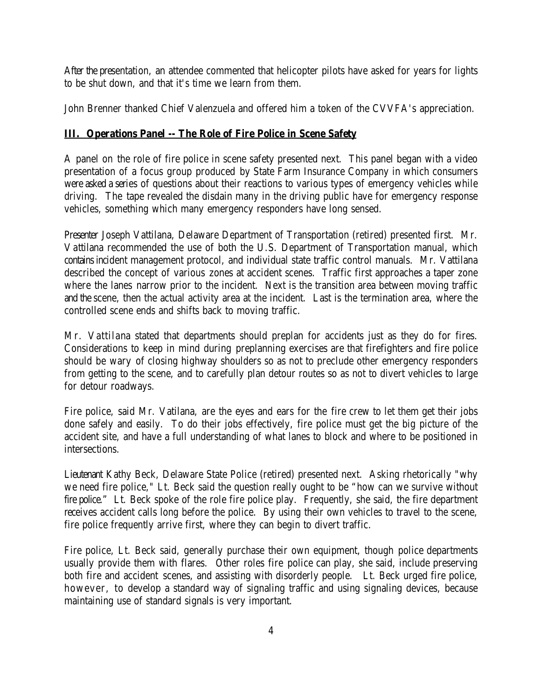After the presentation, an attendee commented that helicopter pilots have asked for years for lights to be shut down, and that it's time we learn from them.

John Brenner thanked Chief Valenzuela and offered him a token of the CVVFA's appreciation.

# **III. Operations Panel -- The Role of Fire Police in Scene Safety**

A panel on the role of fire police in scene safety presented next. This panel began with a video presentation of a focus group produced by State Farm Insurance Company in which consumers were asked a series of questions about their reactions to various types of emergency vehicles while driving. The tape revealed the disdain many in the driving public have for emergency response vehicles, something which many emergency responders have long sensed.

Presenter Joseph Vattilana, Delaware Department of Transportation (retired) presented first. Mr. Vattilana recommended the use of both the U.S. Department of Transportation manual, which contains incident management protocol, and individual state traffic control manuals. Mr. Vattilana described the concept of various zones at accident scenes. Traffic first approaches a taper zone where the lanes narrow prior to the incident. Next is the transition area between moving traffic and the scene, then the actual activity area at the incident. Last is the termination area, where the controlled scene ends and shifts back to moving traffic.

Mr. Vattilana stated that departments should preplan for accidents just as they do for fires. Considerations to keep in mind during preplanning exercises are that firefighters and fire police should be wary of closing highway shoulders so as not to preclude other emergency responders from getting to the scene, and to carefully plan detour routes so as not to divert vehicles to large for detour roadways.

Fire police, said Mr. Vatilana, are the eyes and ears for the fire crew to let them get their jobs done safely and easily. To do their jobs effectively, fire police must get the big picture of the accident site, and have a full understanding of what lanes to block and where to be positioned in intersections.

Lieutenant Kathy Beck, Delaware State Police (retired) presented next. Asking rhetorically "why we need fire police," Lt. Beck said the question really ought to be "how can we survive without fire police." Lt. Beck spoke of the role fire police play. Frequently, she said, the fire department receives accident calls long before the police. By using their own vehicles to travel to the scene, fire police frequently arrive first, where they can begin to divert traffic.

Fire police, Lt. Beck said, generally purchase their own equipment, though police departments usually provide them with flares. Other roles fire police can play, she said, include preserving both fire and accident scenes, and assisting with disorderly people. Lt. Beck urged fire police, however, to develop a standard way of signaling traffic and using signaling devices, because maintaining use of standard signals is very important.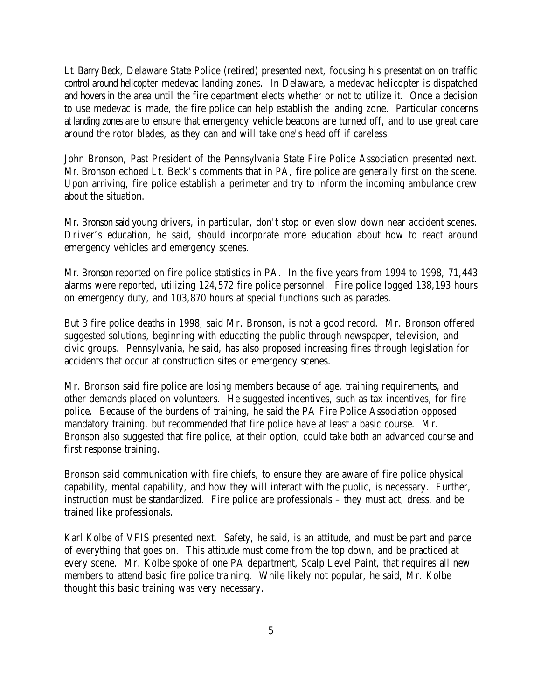Lt. Barry Beck, Delaware State Police (retired) presented next, focusing his presentation on traffic control around helicopter medevac landing zones. In Delaware, a medevac helicopter is dispatched and hovers in the area until the fire department elects whether or not to utilize it. Once a decision to use medevac is made, the fire police can help establish the landing zone. Particular concerns at landing zones are to ensure that emergency vehicle beacons are turned off, and to use great care around the rotor blades, as they can and will take one's head off if careless.

John Bronson, Past President of the Pennsylvania State Fire Police Association presented next. Mr. Bronson echoed Lt. Beck's comments that in PA, fire police are generally first on the scene. Upon arriving, fire police establish a perimeter and try to inform the incoming ambulance crew about the situation.

Mr. Bronson said young drivers, in particular, don't stop or even slow down near accident scenes. Driver's education, he said, should incorporate more education about how to react around emergency vehicles and emergency scenes.

Mr. Bronson reported on fire police statistics in PA. In the five years from 1994 to 1998, 71,443 alarms were reported, utilizing 124,572 fire police personnel. Fire police logged 138,193 hours on emergency duty, and 103,870 hours at special functions such as parades.

But 3 fire police deaths in 1998, said Mr. Bronson, is not a good record. Mr. Bronson offered suggested solutions, beginning with educating the public through newspaper, television, and civic groups. Pennsylvania, he said, has also proposed increasing fines through legislation for accidents that occur at construction sites or emergency scenes.

Mr. Bronson said fire police are losing members because of age, training requirements, and other demands placed on volunteers. He suggested incentives, such as tax incentives, for fire police. Because of the burdens of training, he said the PA Fire Police Association opposed mandatory training, but recommended that fire police have at least a basic course. Mr. Bronson also suggested that fire police, at their option, could take both an advanced course and first response training.

Bronson said communication with fire chiefs, to ensure they are aware of fire police physical capability, mental capability, and how they will interact with the public, is necessary. Further, instruction must be standardized. Fire police are professionals – they must act, dress, and be trained like professionals.

Karl Kolbe of VFIS presented next. Safety, he said, is an attitude, and must be part and parcel of everything that goes on. This attitude must come from the top down, and be practiced at every scene. Mr. Kolbe spoke of one PA department, Scalp Level Paint, that requires all new members to attend basic fire police training. While likely not popular, he said, Mr. Kolbe thought this basic training was very necessary.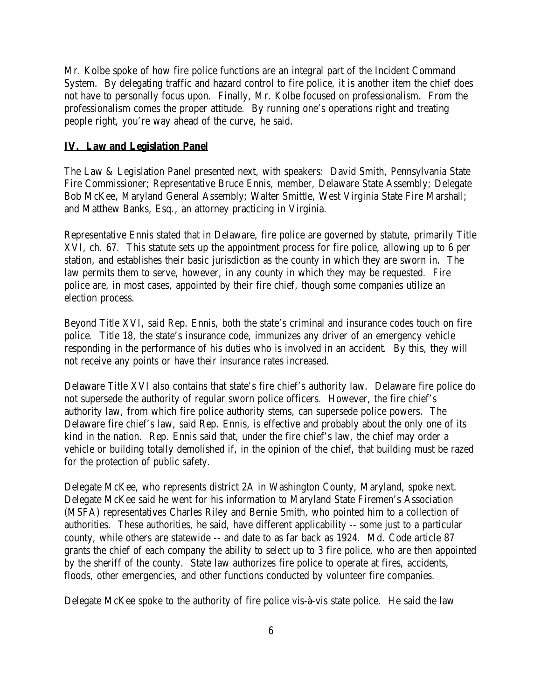Mr. Kolbe spoke of how fire police functions are an integral part of the Incident Command System. By delegating traffic and hazard control to fire police, it is another item the chief does not have to personally focus upon. Finally, Mr. Kolbe focused on professionalism. From the professionalism comes the proper attitude. By running one's operations right and treating people right, you're way ahead of the curve, he said.

#### **IV. Law and Legislation Panel**

The Law & Legislation Panel presented next, with speakers: David Smith, Pennsylvania State Fire Commissioner; Representative Bruce Ennis, member, Delaware State Assembly; Delegate Bob McKee, Maryland General Assembly; Walter Smittle, West Virginia State Fire Marshall; and Matthew Banks, Esq., an attorney practicing in Virginia.

Representative Ennis stated that in Delaware, fire police are governed by statute, primarily Title XVI, ch. 67. This statute sets up the appointment process for fire police, allowing up to 6 per station, and establishes their basic jurisdiction as the county in which they are sworn in. The law permits them to serve, however, in any county in which they may be requested. Fire police are, in most cases, appointed by their fire chief, though some companies utilize an election process.

Beyond Title XVI, said Rep. Ennis, both the state's criminal and insurance codes touch on fire police. Title 18, the state's insurance code, immunizes any driver of an emergency vehicle responding in the performance of his duties who is involved in an accident. By this, they will not receive any points or have their insurance rates increased.

Delaware Title XVI also contains that state's fire chief's authority law. Delaware fire police do not supersede the authority of regular sworn police officers. However, the fire chief's authority law, from which fire police authority stems, can supersede police powers. The Delaware fire chief's law, said Rep. Ennis, is effective and probably about the only one of its kind in the nation. Rep. Ennis said that, under the fire chief's law, the chief may order a vehicle or building totally demolished if, in the opinion of the chief, that building must be razed for the protection of public safety.

Delegate McKee, who represents district 2A in Washington County, Maryland, spoke next. Delegate McKee said he went for his information to Maryland State Firemen's Association (MSFA) representatives Charles Riley and Bernie Smith, who pointed him to a collection of authorities. These authorities, he said, have different applicability -- some just to a particular county, while others are statewide -- and date to as far back as 1924. Md. Code article 87 grants the chief of each company the ability to select up to 3 fire police, who are then appointed by the sheriff of the county. State law authorizes fire police to operate at fires, accidents, floods, other emergencies, and other functions conducted by volunteer fire companies.

Delegate McKee spoke to the authority of fire police vis-à-vis state police. He said the law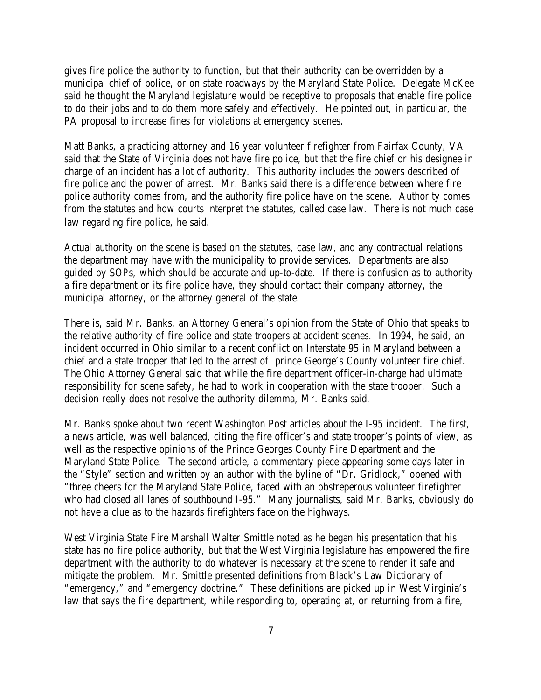gives fire police the authority to function, but that their authority can be overridden by a municipal chief of police, or on state roadways by the Maryland State Police. Delegate McKee said he thought the Maryland legislature would be receptive to proposals that enable fire police to do their jobs and to do them more safely and effectively. He pointed out, in particular, the PA proposal to increase fines for violations at emergency scenes.

Matt Banks, a practicing attorney and 16 year volunteer firefighter from Fairfax County, VA said that the State of Virginia does not have fire police, but that the fire chief or his designee in charge of an incident has a lot of authority. This authority includes the powers described of fire police and the power of arrest. Mr. Banks said there is a difference between where fire police authority comes from, and the authority fire police have on the scene. Authority comes from the statutes and how courts interpret the statutes, called case law. There is not much case law regarding fire police, he said.

Actual authority on the scene is based on the statutes, case law, and any contractual relations the department may have with the municipality to provide services. Departments are also guided by SOPs, which should be accurate and up-to-date. If there is confusion as to authority a fire department or its fire police have, they should contact their company attorney, the municipal attorney, or the attorney general of the state.

There is, said Mr. Banks, an Attorney General's opinion from the State of Ohio that speaks to the relative authority of fire police and state troopers at accident scenes. In 1994, he said, an incident occurred in Ohio similar to a recent conflict on Interstate 95 in Maryland between a chief and a state trooper that led to the arrest of prince George's County volunteer fire chief. The Ohio Attorney General said that while the fire department officer-in-charge had ultimate responsibility for scene safety, he had to work in cooperation with the state trooper. Such a decision really does not resolve the authority dilemma, Mr. Banks said.

Mr. Banks spoke about two recent Washington Post articles about the I-95 incident. The first, a news article, was well balanced, citing the fire officer's and state trooper's points of view, as well as the respective opinions of the Prince Georges County Fire Department and the Maryland State Police. The second article, a commentary piece appearing some days later in the "Style" section and written by an author with the byline of "Dr. Gridlock," opened with "three cheers for the Maryland State Police, faced with an obstreperous volunteer firefighter who had closed all lanes of southbound I-95." Many journalists, said Mr. Banks, obviously do not have a clue as to the hazards firefighters face on the highways.

West Virginia State Fire Marshall Walter Smittle noted as he began his presentation that his state has no fire police authority, but that the West Virginia legislature has empowered the fire department with the authority to do whatever is necessary at the scene to render it safe and mitigate the problem. Mr. Smittle presented definitions from Black's Law Dictionary of "emergency," and "emergency doctrine." These definitions are picked up in West Virginia's law that says the fire department, while responding to, operating at, or returning from a fire,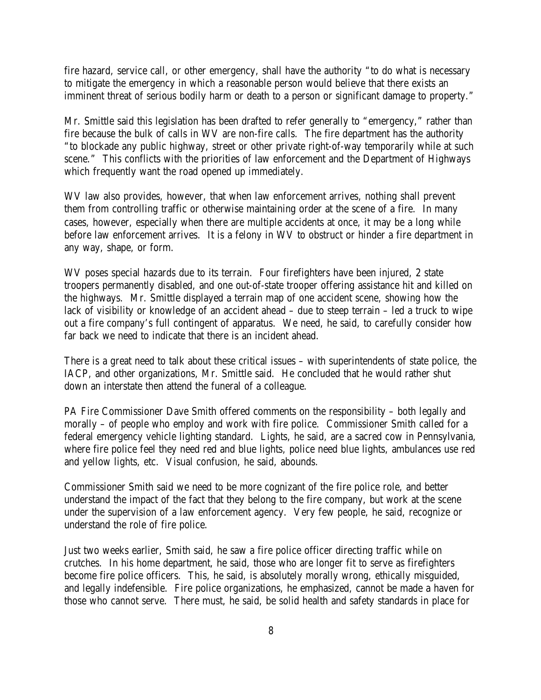fire hazard, service call, or other emergency, shall have the authority "to do what is necessary to mitigate the emergency in which a reasonable person would believe that there exists an imminent threat of serious bodily harm or death to a person or significant damage to property."

Mr. Smittle said this legislation has been drafted to refer generally to "emergency," rather than fire because the bulk of calls in WV are non-fire calls. The fire department has the authority "to blockade any public highway, street or other private right-of-way temporarily while at such scene." This conflicts with the priorities of law enforcement and the Department of Highways which frequently want the road opened up immediately.

WV law also provides, however, that when law enforcement arrives, nothing shall prevent them from controlling traffic or otherwise maintaining order at the scene of a fire. In many cases, however, especially when there are multiple accidents at once, it may be a long while before law enforcement arrives. It is a felony in WV to obstruct or hinder a fire department in any way, shape, or form.

WV poses special hazards due to its terrain. Four firefighters have been injured, 2 state troopers permanently disabled, and one out-of-state trooper offering assistance hit and killed on the highways. Mr. Smittle displayed a terrain map of one accident scene, showing how the lack of visibility or knowledge of an accident ahead – due to steep terrain – led a truck to wipe out a fire company's full contingent of apparatus. We need, he said, to carefully consider how far back we need to indicate that there is an incident ahead.

There is a great need to talk about these critical issues – with superintendents of state police, the IACP, and other organizations, Mr. Smittle said. He concluded that he would rather shut down an interstate then attend the funeral of a colleague.

PA Fire Commissioner Dave Smith offered comments on the responsibility – both legally and morally – of people who employ and work with fire police. Commissioner Smith called for a federal emergency vehicle lighting standard. Lights, he said, are a sacred cow in Pennsylvania, where fire police feel they need red and blue lights, police need blue lights, ambulances use red and yellow lights, etc. Visual confusion, he said, abounds.

Commissioner Smith said we need to be more cognizant of the fire police role, and better understand the impact of the fact that they belong to the fire company, but work at the scene under the supervision of a law enforcement agency. Very few people, he said, recognize or understand the role of fire police.

Just two weeks earlier, Smith said, he saw a fire police officer directing traffic while on crutches. In his home department, he said, those who are longer fit to serve as firefighters become fire police officers. This, he said, is absolutely morally wrong, ethically misguided, and legally indefensible. Fire police organizations, he emphasized, cannot be made a haven for those who cannot serve. There must, he said, be solid health and safety standards in place for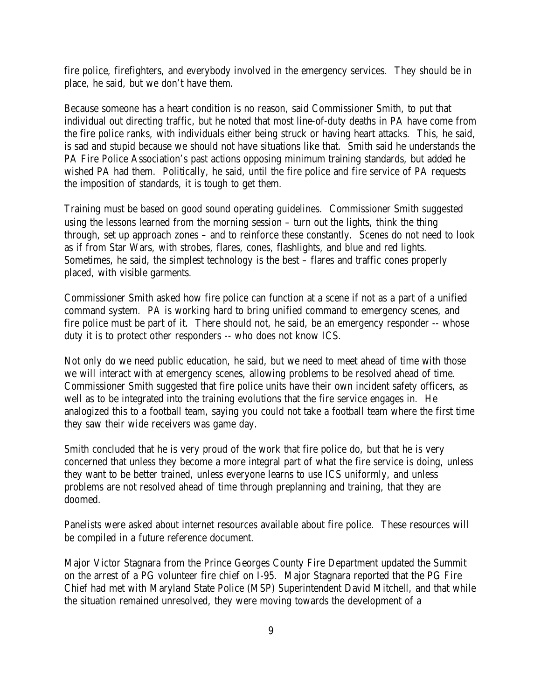fire police, firefighters, and everybody involved in the emergency services. They should be in place, he said, but we don't have them.

Because someone has a heart condition is no reason, said Commissioner Smith, to put that individual out directing traffic, but he noted that most line-of-duty deaths in PA have come from the fire police ranks, with individuals either being struck or having heart attacks. This, he said, is sad and stupid because we should not have situations like that. Smith said he understands the PA Fire Police Association's past actions opposing minimum training standards, but added he wished PA had them. Politically, he said, until the fire police and fire service of PA requests the imposition of standards, it is tough to get them.

Training must be based on good sound operating guidelines. Commissioner Smith suggested using the lessons learned from the morning session – turn out the lights, think the thing through, set up approach zones – and to reinforce these constantly. Scenes do not need to look as if from Star Wars, with strobes, flares, cones, flashlights, and blue and red lights. Sometimes, he said, the simplest technology is the best – flares and traffic cones properly placed, with visible garments.

Commissioner Smith asked how fire police can function at a scene if not as a part of a unified command system. PA is working hard to bring unified command to emergency scenes, and fire police must be part of it. There should not, he said, be an emergency responder -- whose duty it is to protect other responders -- who does not know ICS.

Not only do we need public education, he said, but we need to meet ahead of time with those we will interact with at emergency scenes, allowing problems to be resolved ahead of time. Commissioner Smith suggested that fire police units have their own incident safety officers, as well as to be integrated into the training evolutions that the fire service engages in. He analogized this to a football team, saying you could not take a football team where the first time they saw their wide receivers was game day.

Smith concluded that he is very proud of the work that fire police do, but that he is very concerned that unless they become a more integral part of what the fire service is doing, unless they want to be better trained, unless everyone learns to use ICS uniformly, and unless problems are not resolved ahead of time through preplanning and training, that they are doomed.

Panelists were asked about internet resources available about fire police. These resources will be compiled in a future reference document.

Major Victor Stagnara from the Prince Georges County Fire Department updated the Summit on the arrest of a PG volunteer fire chief on I-95. Major Stagnara reported that the PG Fire Chief had met with Maryland State Police (MSP) Superintendent David Mitchell, and that while the situation remained unresolved, they were moving towards the development of a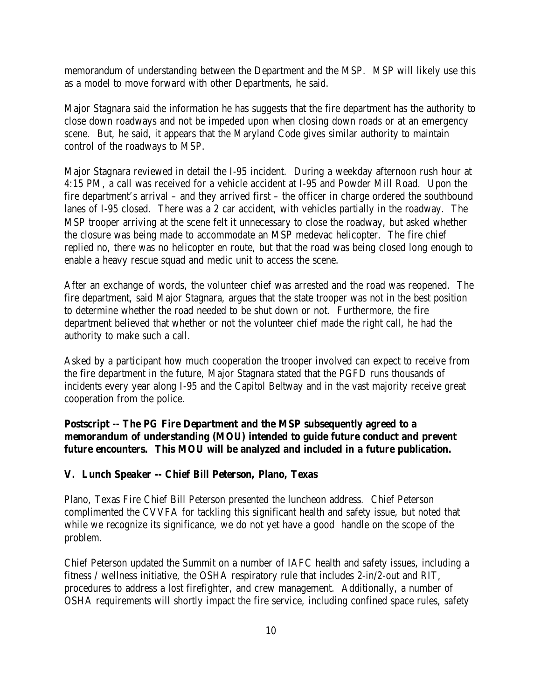memorandum of understanding between the Department and the MSP. MSP will likely use this as a model to move forward with other Departments, he said.

Major Stagnara said the information he has suggests that the fire department has the authority to close down roadways and not be impeded upon when closing down roads or at an emergency scene. But, he said, it appears that the Maryland Code gives similar authority to maintain control of the roadways to MSP.

Major Stagnara reviewed in detail the I-95 incident. During a weekday afternoon rush hour at 4:15 PM, a call was received for a vehicle accident at I-95 and Powder Mill Road. Upon the fire department's arrival – and they arrived first – the officer in charge ordered the southbound lanes of I-95 closed. There was a 2 car accident, with vehicles partially in the roadway. The MSP trooper arriving at the scene felt it unnecessary to close the roadway, but asked whether the closure was being made to accommodate an MSP medevac helicopter. The fire chief replied no, there was no helicopter en route, but that the road was being closed long enough to enable a heavy rescue squad and medic unit to access the scene.

After an exchange of words, the volunteer chief was arrested and the road was reopened. The fire department, said Major Stagnara, argues that the state trooper was not in the best position to determine whether the road needed to be shut down or not. Furthermore, the fire department believed that whether or not the volunteer chief made the right call, he had the authority to make such a call.

Asked by a participant how much cooperation the trooper involved can expect to receive from the fire department in the future, Major Stagnara stated that the PGFD runs thousands of incidents every year along I-95 and the Capitol Beltway and in the vast majority receive great cooperation from the police.

**Postscript -- The PG Fire Department and the MSP subsequently agreed to a memorandum of understanding (MOU) intended to guide future conduct and prevent future encounters. This MOU will be analyzed and included in a future publication.**

#### **V. Lunch Speaker -- Chief Bill Peterson, Plano, Texas**

Plano, Texas Fire Chief Bill Peterson presented the luncheon address. Chief Peterson complimented the CVVFA for tackling this significant health and safety issue, but noted that while we recognize its significance, we do not yet have a good handle on the scope of the problem.

Chief Peterson updated the Summit on a number of IAFC health and safety issues, including a fitness / wellness initiative, the OSHA respiratory rule that includes 2-in/2-out and RIT, procedures to address a lost firefighter, and crew management. Additionally, a number of OSHA requirements will shortly impact the fire service, including confined space rules, safety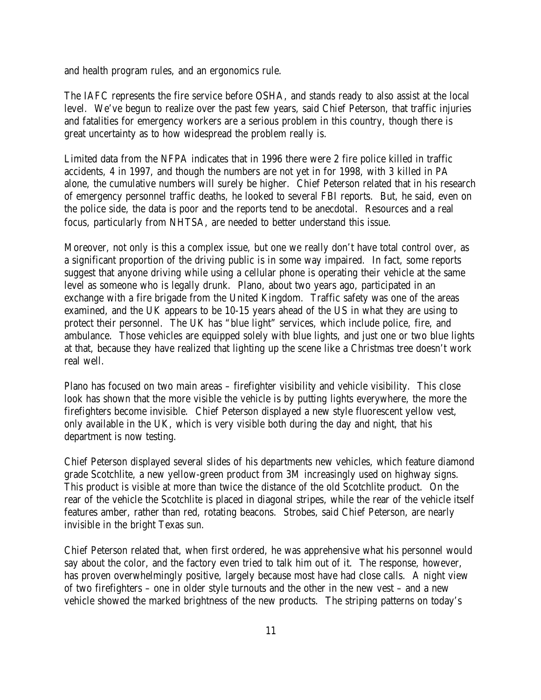and health program rules, and an ergonomics rule.

The IAFC represents the fire service before OSHA, and stands ready to also assist at the local level. We've begun to realize over the past few years, said Chief Peterson, that traffic injuries and fatalities for emergency workers are a serious problem in this country, though there is great uncertainty as to how widespread the problem really is.

Limited data from the NFPA indicates that in 1996 there were 2 fire police killed in traffic accidents, 4 in 1997, and though the numbers are not yet in for 1998, with 3 killed in PA alone, the cumulative numbers will surely be higher. Chief Peterson related that in his research of emergency personnel traffic deaths, he looked to several FBI reports. But, he said, even on the police side, the data is poor and the reports tend to be anecdotal. Resources and a real focus, particularly from NHTSA, are needed to better understand this issue.

Moreover, not only is this a complex issue, but one we really don't have total control over, as a significant proportion of the driving public is in some way impaired. In fact, some reports suggest that anyone driving while using a cellular phone is operating their vehicle at the same level as someone who is legally drunk. Plano, about two years ago, participated in an exchange with a fire brigade from the United Kingdom. Traffic safety was one of the areas examined, and the UK appears to be 10-15 years ahead of the US in what they are using to protect their personnel. The UK has "blue light" services, which include police, fire, and ambulance. Those vehicles are equipped solely with blue lights, and just one or two blue lights at that, because they have realized that lighting up the scene like a Christmas tree doesn't work real well.

Plano has focused on two main areas – firefighter visibility and vehicle visibility. This close look has shown that the more visible the vehicle is by putting lights everywhere, the more the firefighters become invisible. Chief Peterson displayed a new style fluorescent yellow vest, only available in the UK, which is very visible both during the day and night, that his department is now testing.

Chief Peterson displayed several slides of his departments new vehicles, which feature diamond grade Scotchlite, a new yellow-green product from 3M increasingly used on highway signs. This product is visible at more than twice the distance of the old Scotchlite product. On the rear of the vehicle the Scotchlite is placed in diagonal stripes, while the rear of the vehicle itself features amber, rather than red, rotating beacons. Strobes, said Chief Peterson, are nearly invisible in the bright Texas sun.

Chief Peterson related that, when first ordered, he was apprehensive what his personnel would say about the color, and the factory even tried to talk him out of it. The response, however, has proven overwhelmingly positive, largely because most have had close calls. A night view of two firefighters – one in older style turnouts and the other in the new vest – and a new vehicle showed the marked brightness of the new products. The striping patterns on today's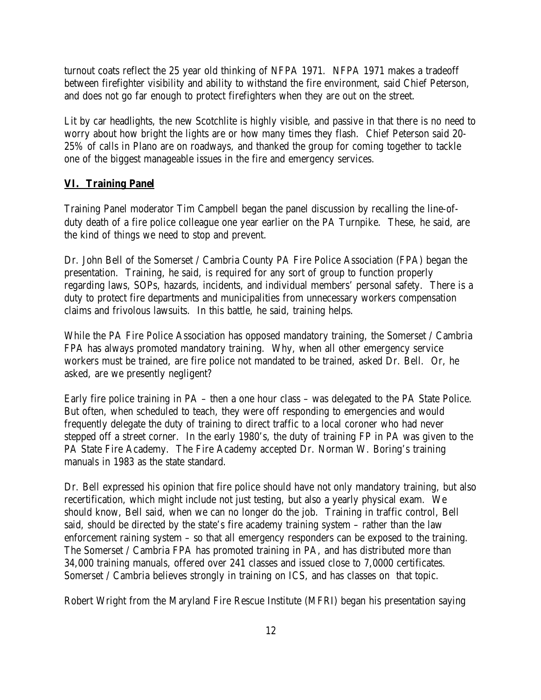turnout coats reflect the 25 year old thinking of NFPA 1971. NFPA 1971 makes a tradeoff between firefighter visibility and ability to withstand the fire environment, said Chief Peterson, and does not go far enough to protect firefighters when they are out on the street.

Lit by car headlights, the new Scotchlite is highly visible, and passive in that there is no need to worry about how bright the lights are or how many times they flash. Chief Peterson said 20- 25% of calls in Plano are on roadways, and thanked the group for coming together to tackle one of the biggest manageable issues in the fire and emergency services.

#### **VI. Training Panel**

Training Panel moderator Tim Campbell began the panel discussion by recalling the line-ofduty death of a fire police colleague one year earlier on the PA Turnpike. These, he said, are the kind of things we need to stop and prevent.

Dr. John Bell of the Somerset / Cambria County PA Fire Police Association (FPA) began the presentation. Training, he said, is required for any sort of group to function properly regarding laws, SOPs, hazards, incidents, and individual members' personal safety. There is a duty to protect fire departments and municipalities from unnecessary workers compensation claims and frivolous lawsuits. In this battle, he said, training helps.

While the PA Fire Police Association has opposed mandatory training, the Somerset / Cambria FPA has always promoted mandatory training. Why, when all other emergency service workers must be trained, are fire police not mandated to be trained, asked Dr. Bell. Or, he asked, are we presently negligent?

Early fire police training in PA – then a one hour class – was delegated to the PA State Police. But often, when scheduled to teach, they were off responding to emergencies and would frequently delegate the duty of training to direct traffic to a local coroner who had never stepped off a street corner. In the early 1980's, the duty of training FP in PA was given to the PA State Fire Academy. The Fire Academy accepted Dr. Norman W. Boring's training manuals in 1983 as the state standard.

Dr. Bell expressed his opinion that fire police should have not only mandatory training, but also recertification, which might include not just testing, but also a yearly physical exam. We should know, Bell said, when we can no longer do the job. Training in traffic control, Bell said, should be directed by the state's fire academy training system – rather than the law enforcement raining system – so that all emergency responders can be exposed to the training. The Somerset / Cambria FPA has promoted training in PA, and has distributed more than 34,000 training manuals, offered over 241 classes and issued close to 7,0000 certificates. Somerset / Cambria believes strongly in training on ICS, and has classes on that topic.

Robert Wright from the Maryland Fire Rescue Institute (MFRI) began his presentation saying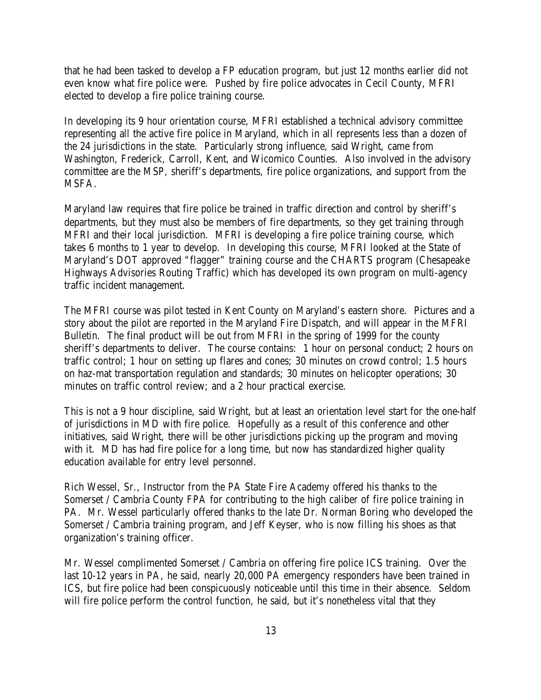that he had been tasked to develop a FP education program, but just 12 months earlier did not even know what fire police were. Pushed by fire police advocates in Cecil County, MFRI elected to develop a fire police training course.

In developing its 9 hour orientation course, MFRI established a technical advisory committee representing all the active fire police in Maryland, which in all represents less than a dozen of the 24 jurisdictions in the state. Particularly strong influence, said Wright, came from Washington, Frederick, Carroll, Kent, and Wicomico Counties. Also involved in the advisory committee are the MSP, sheriff's departments, fire police organizations, and support from the MSFA.

Maryland law requires that fire police be trained in traffic direction and control by sheriff's departments, but they must also be members of fire departments, so they get training through MFRI and their local jurisdiction. MFRI is developing a fire police training course, which takes 6 months to 1 year to develop. In developing this course, MFRI looked at the State of Maryland's DOT approved "flagger" training course and the CHARTS program (Chesapeake Highways Advisories Routing Traffic) which has developed its own program on multi-agency traffic incident management.

The MFRI course was pilot tested in Kent County on Maryland's eastern shore. Pictures and a story about the pilot are reported in the Maryland Fire Dispatch, and will appear in the MFRI Bulletin. The final product will be out from MFRI in the spring of 1999 for the county sheriff's departments to deliver. The course contains: 1 hour on personal conduct; 2 hours on traffic control; 1 hour on setting up flares and cones; 30 minutes on crowd control; 1.5 hours on haz-mat transportation regulation and standards; 30 minutes on helicopter operations; 30 minutes on traffic control review; and a 2 hour practical exercise.

This is not a 9 hour discipline, said Wright, but at least an orientation level start for the one-half of jurisdictions in MD with fire police. Hopefully as a result of this conference and other initiatives, said Wright, there will be other jurisdictions picking up the program and moving with it. MD has had fire police for a long time, but now has standardized higher quality education available for entry level personnel.

Rich Wessel, Sr., Instructor from the PA State Fire Academy offered his thanks to the Somerset / Cambria County FPA for contributing to the high caliber of fire police training in PA. Mr. Wessel particularly offered thanks to the late Dr. Norman Boring who developed the Somerset / Cambria training program, and Jeff Keyser, who is now filling his shoes as that organization's training officer.

Mr. Wessel complimented Somerset / Cambria on offering fire police ICS training. Over the last 10-12 years in PA, he said, nearly 20,000 PA emergency responders have been trained in ICS, but fire police had been conspicuously noticeable until this time in their absence. Seldom will fire police perform the control function, he said, but it's nonetheless vital that they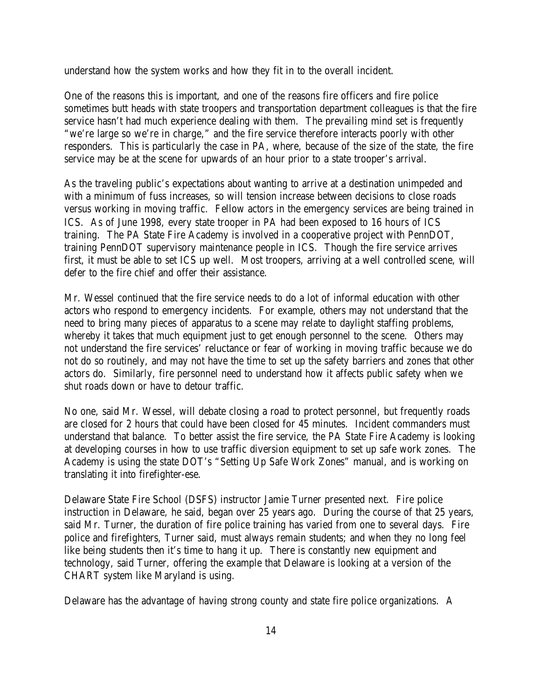understand how the system works and how they fit in to the overall incident.

One of the reasons this is important, and one of the reasons fire officers and fire police sometimes butt heads with state troopers and transportation department colleagues is that the fire service hasn't had much experience dealing with them. The prevailing mind set is frequently "we're large so we're in charge," and the fire service therefore interacts poorly with other responders. This is particularly the case in PA, where, because of the size of the state, the fire service may be at the scene for upwards of an hour prior to a state trooper's arrival.

As the traveling public's expectations about wanting to arrive at a destination unimpeded and with a minimum of fuss increases, so will tension increase between decisions to close roads versus working in moving traffic. Fellow actors in the emergency services are being trained in ICS. As of June 1998, every state trooper in PA had been exposed to 16 hours of ICS training. The PA State Fire Academy is involved in a cooperative project with PennDOT, training PennDOT supervisory maintenance people in ICS. Though the fire service arrives first, it must be able to set ICS up well. Most troopers, arriving at a well controlled scene, will defer to the fire chief and offer their assistance.

Mr. Wessel continued that the fire service needs to do a lot of informal education with other actors who respond to emergency incidents. For example, others may not understand that the need to bring many pieces of apparatus to a scene may relate to daylight staffing problems, whereby it takes that much equipment just to get enough personnel to the scene. Others may not understand the fire services' reluctance or fear of working in moving traffic because we do not do so routinely, and may not have the time to set up the safety barriers and zones that other actors do. Similarly, fire personnel need to understand how it affects public safety when we shut roads down or have to detour traffic.

No one, said Mr. Wessel, will debate closing a road to protect personnel, but frequently roads are closed for 2 hours that could have been closed for 45 minutes. Incident commanders must understand that balance. To better assist the fire service, the PA State Fire Academy is looking at developing courses in how to use traffic diversion equipment to set up safe work zones. The Academy is using the state DOT's "Setting Up Safe Work Zones" manual, and is working on translating it into firefighter-ese.

Delaware State Fire School (DSFS) instructor Jamie Turner presented next. Fire police instruction in Delaware, he said, began over 25 years ago. During the course of that 25 years, said Mr. Turner, the duration of fire police training has varied from one to several days. Fire police and firefighters, Turner said, must always remain students; and when they no long feel like being students then it's time to hang it up. There is constantly new equipment and technology, said Turner, offering the example that Delaware is looking at a version of the CHART system like Maryland is using.

Delaware has the advantage of having strong county and state fire police organizations. A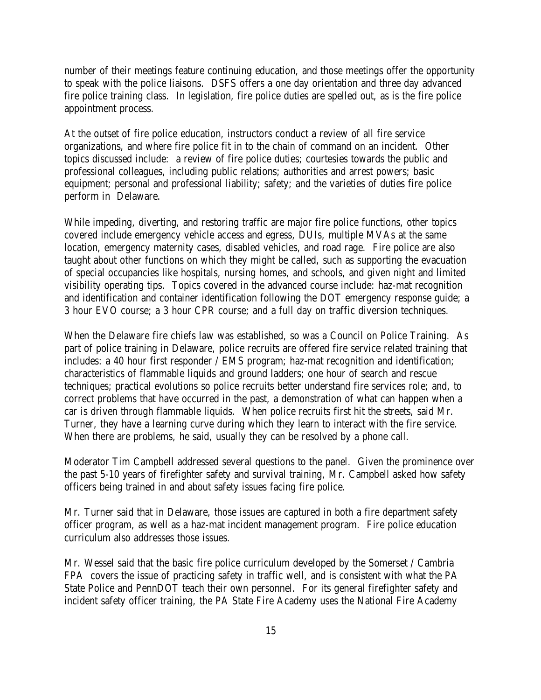number of their meetings feature continuing education, and those meetings offer the opportunity to speak with the police liaisons. DSFS offers a one day orientation and three day advanced fire police training class. In legislation, fire police duties are spelled out, as is the fire police appointment process.

At the outset of fire police education, instructors conduct a review of all fire service organizations, and where fire police fit in to the chain of command on an incident. Other topics discussed include: a review of fire police duties; courtesies towards the public and professional colleagues, including public relations; authorities and arrest powers; basic equipment; personal and professional liability; safety; and the varieties of duties fire police perform in Delaware.

While impeding, diverting, and restoring traffic are major fire police functions, other topics covered include emergency vehicle access and egress, DUIs, multiple MVAs at the same location, emergency maternity cases, disabled vehicles, and road rage. Fire police are also taught about other functions on which they might be called, such as supporting the evacuation of special occupancies like hospitals, nursing homes, and schools, and given night and limited visibility operating tips. Topics covered in the advanced course include: haz-mat recognition and identification and container identification following the DOT emergency response guide; a 3 hour EVO course; a 3 hour CPR course; and a full day on traffic diversion techniques.

When the Delaware fire chiefs law was established, so was a Council on Police Training. As part of police training in Delaware, police recruits are offered fire service related training that includes: a 40 hour first responder / EMS program; haz-mat recognition and identification; characteristics of flammable liquids and ground ladders; one hour of search and rescue techniques; practical evolutions so police recruits better understand fire services role; and, to correct problems that have occurred in the past, a demonstration of what can happen when a car is driven through flammable liquids. When police recruits first hit the streets, said Mr. Turner, they have a learning curve during which they learn to interact with the fire service. When there are problems, he said, usually they can be resolved by a phone call.

Moderator Tim Campbell addressed several questions to the panel. Given the prominence over the past 5-10 years of firefighter safety and survival training, Mr. Campbell asked how safety officers being trained in and about safety issues facing fire police.

Mr. Turner said that in Delaware, those issues are captured in both a fire department safety officer program, as well as a haz-mat incident management program. Fire police education curriculum also addresses those issues.

Mr. Wessel said that the basic fire police curriculum developed by the Somerset / Cambria FPA covers the issue of practicing safety in traffic well, and is consistent with what the PA State Police and PennDOT teach their own personnel. For its general firefighter safety and incident safety officer training, the PA State Fire Academy uses the National Fire Academy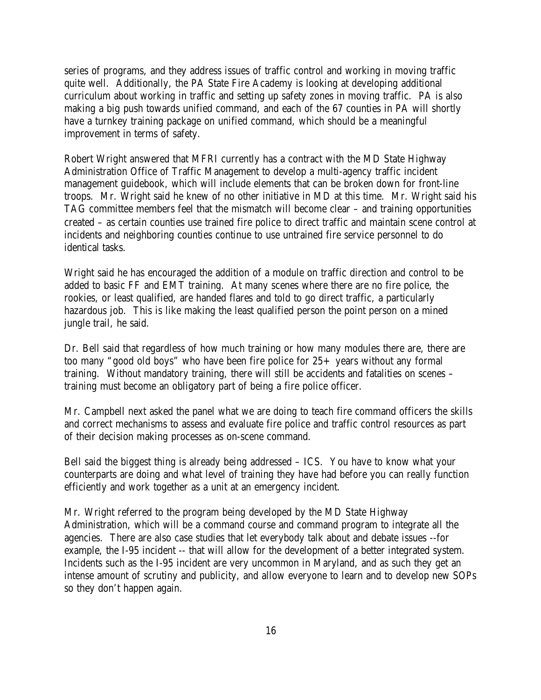series of programs, and they address issues of traffic control and working in moving traffic quite well. Additionally, the PA State Fire Academy is looking at developing additional curriculum about working in traffic and setting up safety zones in moving traffic. PA is also making a big push towards unified command, and each of the 67 counties in PA will shortly have a turnkey training package on unified command, which should be a meaningful improvement in terms of safety.

Robert Wright answered that MFRI currently has a contract with the MD State Highway Administration Office of Traffic Management to develop a multi-agency traffic incident management guidebook, which will include elements that can be broken down for front-line troops. Mr. Wright said he knew of no other initiative in MD at this time. Mr. Wright said his TAG committee members feel that the mismatch will become clear – and training opportunities created – as certain counties use trained fire police to direct traffic and maintain scene control at incidents and neighboring counties continue to use untrained fire service personnel to do identical tasks.

Wright said he has encouraged the addition of a module on traffic direction and control to be added to basic FF and EMT training. At many scenes where there are no fire police, the rookies, or least qualified, are handed flares and told to go direct traffic, a particularly hazardous job. This is like making the least qualified person the point person on a mined jungle trail, he said.

Dr. Bell said that regardless of how much training or how many modules there are, there are too many "good old boys" who have been fire police for 25+ years without any formal training. Without mandatory training, there will still be accidents and fatalities on scenes – training must become an obligatory part of being a fire police officer.

Mr. Campbell next asked the panel what we are doing to teach fire command officers the skills and correct mechanisms to assess and evaluate fire police and traffic control resources as part of their decision making processes as on-scene command.

Bell said the biggest thing is already being addressed – ICS. You have to know what your counterparts are doing and what level of training they have had before you can really function efficiently and work together as a unit at an emergency incident.

Mr. Wright referred to the program being developed by the MD State Highway Administration, which will be a command course and command program to integrate all the agencies. There are also case studies that let everybody talk about and debate issues --for example, the I-95 incident -- that will allow for the development of a better integrated system. Incidents such as the I-95 incident are very uncommon in Maryland, and as such they get an intense amount of scrutiny and publicity, and allow everyone to learn and to develop new SOPs so they don't happen again.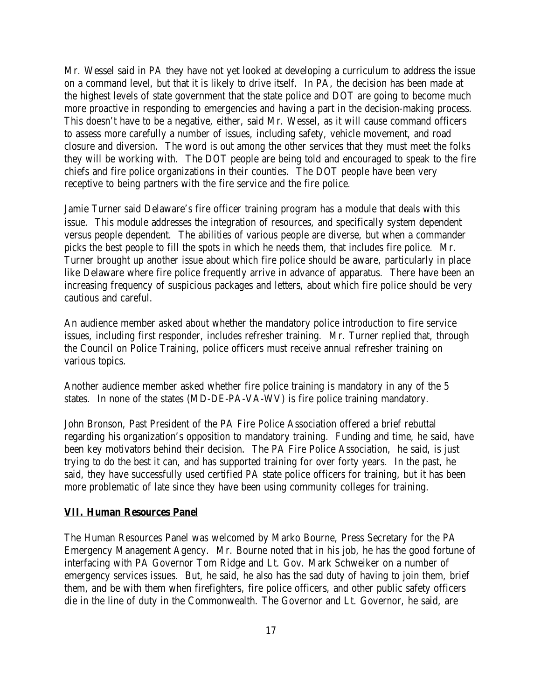Mr. Wessel said in PA they have not yet looked at developing a curriculum to address the issue on a command level, but that it is likely to drive itself. In PA, the decision has been made at the highest levels of state government that the state police and DOT are going to become much more proactive in responding to emergencies and having a part in the decision-making process. This doesn't have to be a negative, either, said Mr. Wessel, as it will cause command officers to assess more carefully a number of issues, including safety, vehicle movement, and road closure and diversion. The word is out among the other services that they must meet the folks they will be working with. The DOT people are being told and encouraged to speak to the fire chiefs and fire police organizations in their counties. The DOT people have been very receptive to being partners with the fire service and the fire police.

Jamie Turner said Delaware's fire officer training program has a module that deals with this issue. This module addresses the integration of resources, and specifically system dependent versus people dependent. The abilities of various people are diverse, but when a commander picks the best people to fill the spots in which he needs them, that includes fire police. Mr. Turner brought up another issue about which fire police should be aware, particularly in place like Delaware where fire police frequently arrive in advance of apparatus. There have been an increasing frequency of suspicious packages and letters, about which fire police should be very cautious and careful.

An audience member asked about whether the mandatory police introduction to fire service issues, including first responder, includes refresher training. Mr. Turner replied that, through the Council on Police Training, police officers must receive annual refresher training on various topics.

Another audience member asked whether fire police training is mandatory in any of the 5 states. In none of the states (MD-DE-PA-VA-WV) is fire police training mandatory.

John Bronson, Past President of the PA Fire Police Association offered a brief rebuttal regarding his organization's opposition to mandatory training. Funding and time, he said, have been key motivators behind their decision. The PA Fire Police Association, he said, is just trying to do the best it can, and has supported training for over forty years. In the past, he said, they have successfully used certified PA state police officers for training, but it has been more problematic of late since they have been using community colleges for training.

#### **VII. Human Resources Panel**

The Human Resources Panel was welcomed by Marko Bourne, Press Secretary for the PA Emergency Management Agency. Mr. Bourne noted that in his job, he has the good fortune of interfacing with PA Governor Tom Ridge and Lt. Gov. Mark Schweiker on a number of emergency services issues. But, he said, he also has the sad duty of having to join them, brief them, and be with them when firefighters, fire police officers, and other public safety officers die in the line of duty in the Commonwealth. The Governor and Lt. Governor, he said, are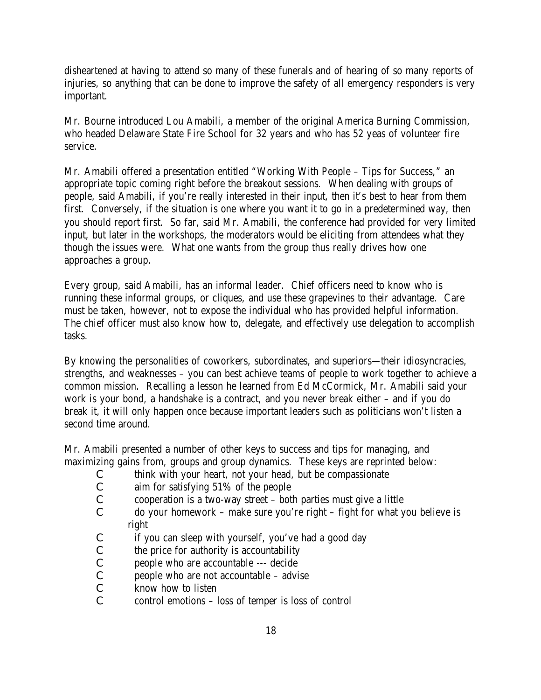disheartened at having to attend so many of these funerals and of hearing of so many reports of injuries, so anything that can be done to improve the safety of all emergency responders is very important.

Mr. Bourne introduced Lou Amabili, a member of the original America Burning Commission, who headed Delaware State Fire School for 32 years and who has 52 yeas of volunteer fire service.

Mr. Amabili offered a presentation entitled "Working With People – Tips for Success," an appropriate topic coming right before the breakout sessions. When dealing with groups of people, said Amabili, if you're really interested in their input, then it's best to hear from them first. Conversely, if the situation is one where you want it to go in a predetermined way, then you should report first. So far, said Mr. Amabili, the conference had provided for very limited input, but later in the workshops, the moderators would be eliciting from attendees what they though the issues were. What one wants from the group thus really drives how one approaches a group.

Every group, said Amabili, has an informal leader. Chief officers need to know who is running these informal groups, or cliques, and use these grapevines to their advantage. Care must be taken, however, not to expose the individual who has provided helpful information. The chief officer must also know how to, delegate, and effectively use delegation to accomplish tasks.

By knowing the personalities of coworkers, subordinates, and superiors—their idiosyncracies, strengths, and weaknesses – you can best achieve teams of people to work together to achieve a common mission. Recalling a lesson he learned from Ed McCormick, Mr. Amabili said your work is your bond, a handshake is a contract, and you never break either – and if you do break it, it will only happen once because important leaders such as politicians won't listen a second time around.

Mr. Amabili presented a number of other keys to success and tips for managing, and maximizing gains from, groups and group dynamics. These keys are reprinted below:

- C think with your heart, not your head, but be compassionate
- C aim for satisfying 51% of the people
- C cooperation is a two-way street both parties must give a little
- C do your homework make sure you're right fight for what you believe is right
- C if you can sleep with yourself, you've had a good day
- C the price for authority is accountability
- C people who are accountable --- decide
- C people who are not accountable advise
- C know how to listen
- C control emotions loss of temper is loss of control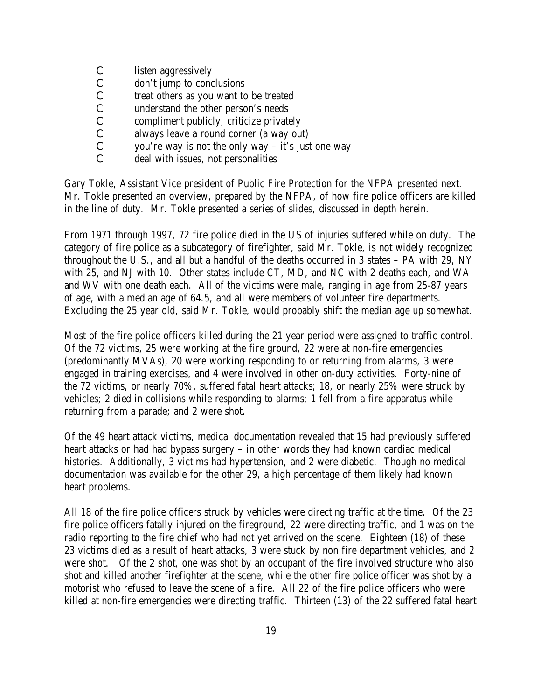- C listen aggressively
- C don't jump to conclusions
- C treat others as you want to be treated
- C understand the other person's needs
- C compliment publicly, criticize privately
- C always leave a round corner (a way out)
- C you're way is not the only way it's just one way
- C deal with issues, not personalities

Gary Tokle, Assistant Vice president of Public Fire Protection for the NFPA presented next. Mr. Tokle presented an overview, prepared by the NFPA, of how fire police officers are killed in the line of duty. Mr. Tokle presented a series of slides, discussed in depth herein.

From 1971 through 1997, 72 fire police died in the US of injuries suffered while on duty. The category of fire police as a subcategory of firefighter, said Mr. Tokle, is not widely recognized throughout the U.S., and all but a handful of the deaths occurred in 3 states – PA with 29, NY with 25, and NJ with 10. Other states include CT, MD, and NC with 2 deaths each, and WA and WV with one death each. All of the victims were male, ranging in age from 25-87 years of age, with a median age of 64.5, and all were members of volunteer fire departments. Excluding the 25 year old, said Mr. Tokle, would probably shift the median age up somewhat.

Most of the fire police officers killed during the 21 year period were assigned to traffic control. Of the 72 victims, 25 were working at the fire ground, 22 were at non-fire emergencies (predominantly MVAs), 20 were working responding to or returning from alarms, 3 were engaged in training exercises, and 4 were involved in other on-duty activities. Forty-nine of the 72 victims, or nearly 70%, suffered fatal heart attacks; 18, or nearly 25% were struck by vehicles; 2 died in collisions while responding to alarms; 1 fell from a fire apparatus while returning from a parade; and 2 were shot.

Of the 49 heart attack victims, medical documentation revealed that 15 had previously suffered heart attacks or had had bypass surgery – in other words they had known cardiac medical histories. Additionally, 3 victims had hypertension, and 2 were diabetic. Though no medical documentation was available for the other 29, a high percentage of them likely had known heart problems.

All 18 of the fire police officers struck by vehicles were directing traffic at the time. Of the 23 fire police officers fatally injured on the fireground, 22 were directing traffic, and 1 was on the radio reporting to the fire chief who had not yet arrived on the scene. Eighteen (18) of these 23 victims died as a result of heart attacks, 3 were stuck by non fire department vehicles, and 2 were shot. Of the 2 shot, one was shot by an occupant of the fire involved structure who also shot and killed another firefighter at the scene, while the other fire police officer was shot by a motorist who refused to leave the scene of a fire. All 22 of the fire police officers who were killed at non-fire emergencies were directing traffic. Thirteen (13) of the 22 suffered fatal heart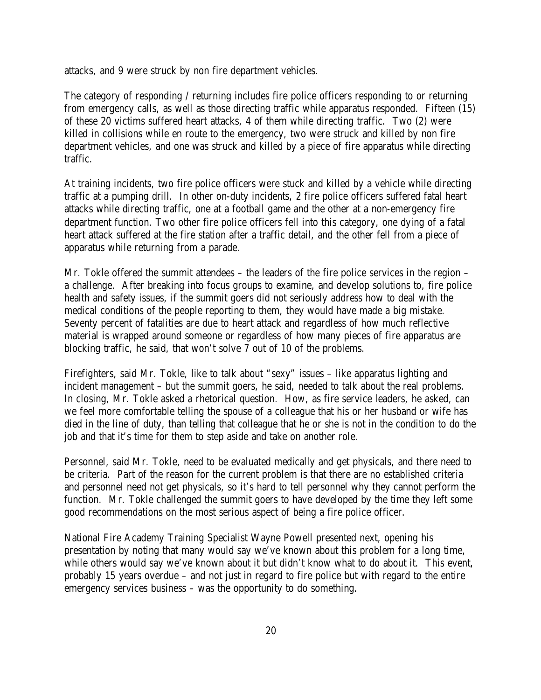attacks, and 9 were struck by non fire department vehicles.

The category of responding / returning includes fire police officers responding to or returning from emergency calls, as well as those directing traffic while apparatus responded. Fifteen (15) of these 20 victims suffered heart attacks, 4 of them while directing traffic. Two (2) were killed in collisions while en route to the emergency, two were struck and killed by non fire department vehicles, and one was struck and killed by a piece of fire apparatus while directing traffic.

At training incidents, two fire police officers were stuck and killed by a vehicle while directing traffic at a pumping drill. In other on-duty incidents, 2 fire police officers suffered fatal heart attacks while directing traffic, one at a football game and the other at a non-emergency fire department function. Two other fire police officers fell into this category, one dying of a fatal heart attack suffered at the fire station after a traffic detail, and the other fell from a piece of apparatus while returning from a parade.

Mr. Tokle offered the summit attendees – the leaders of the fire police services in the region – a challenge. After breaking into focus groups to examine, and develop solutions to, fire police health and safety issues, if the summit goers did not seriously address how to deal with the medical conditions of the people reporting to them, they would have made a big mistake. Seventy percent of fatalities are due to heart attack and regardless of how much reflective material is wrapped around someone or regardless of how many pieces of fire apparatus are blocking traffic, he said, that won't solve 7 out of 10 of the problems.

Firefighters, said Mr. Tokle, like to talk about "sexy" issues – like apparatus lighting and incident management – but the summit goers, he said, needed to talk about the real problems. In closing, Mr. Tokle asked a rhetorical question. How, as fire service leaders, he asked, can we feel more comfortable telling the spouse of a colleague that his or her husband or wife has died in the line of duty, than telling that colleague that he or she is not in the condition to do the job and that it's time for them to step aside and take on another role.

Personnel, said Mr. Tokle, need to be evaluated medically and get physicals, and there need to be criteria. Part of the reason for the current problem is that there are no established criteria and personnel need not get physicals, so it's hard to tell personnel why they cannot perform the function. Mr. Tokle challenged the summit goers to have developed by the time they left some good recommendations on the most serious aspect of being a fire police officer.

National Fire Academy Training Specialist Wayne Powell presented next, opening his presentation by noting that many would say we've known about this problem for a long time, while others would say we've known about it but didn't know what to do about it. This event, probably 15 years overdue – and not just in regard to fire police but with regard to the entire emergency services business – was the opportunity to do something.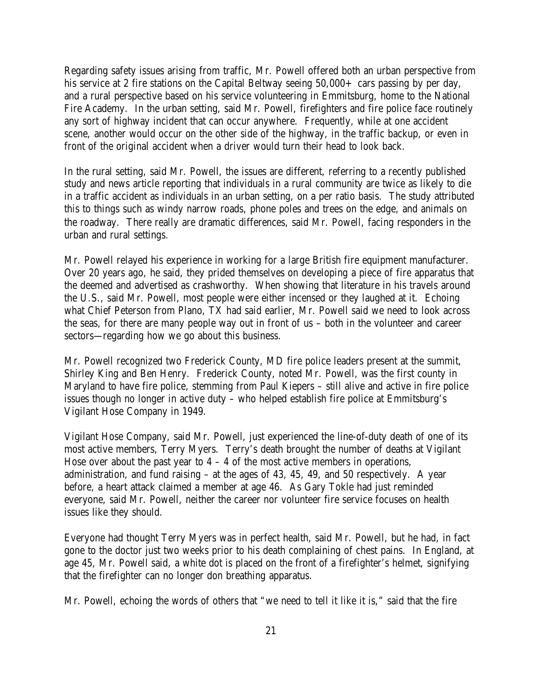Regarding safety issues arising from traffic, Mr. Powell offered both an urban perspective from his service at 2 fire stations on the Capital Beltway seeing  $50,000+$  cars passing by per day, and a rural perspective based on his service volunteering in Emmitsburg, home to the National Fire Academy. In the urban setting, said Mr. Powell, firefighters and fire police face routinely any sort of highway incident that can occur anywhere. Frequently, while at one accident scene, another would occur on the other side of the highway, in the traffic backup, or even in front of the original accident when a driver would turn their head to look back.

In the rural setting, said Mr. Powell, the issues are different, referring to a recently published study and news article reporting that individuals in a rural community are twice as likely to die in a traffic accident as individuals in an urban setting, on a per ratio basis. The study attributed this to things such as windy narrow roads, phone poles and trees on the edge, and animals on the roadway. There really are dramatic differences, said Mr. Powell, facing responders in the urban and rural settings.

Mr. Powell relayed his experience in working for a large British fire equipment manufacturer. Over 20 years ago, he said, they prided themselves on developing a piece of fire apparatus that the deemed and advertised as crashworthy. When showing that literature in his travels around the U.S., said Mr. Powell, most people were either incensed or they laughed at it. Echoing what Chief Peterson from Plano, TX had said earlier, Mr. Powell said we need to look across the seas, for there are many people way out in front of us – both in the volunteer and career sectors—regarding how we go about this business.

Mr. Powell recognized two Frederick County, MD fire police leaders present at the summit, Shirley King and Ben Henry. Frederick County, noted Mr. Powell, was the first county in Maryland to have fire police, stemming from Paul Kiepers – still alive and active in fire police issues though no longer in active duty – who helped establish fire police at Emmitsburg's Vigilant Hose Company in 1949.

Vigilant Hose Company, said Mr. Powell, just experienced the line-of-duty death of one of its most active members, Terry Myers. Terry's death brought the number of deaths at Vigilant Hose over about the past year to  $4 - 4$  of the most active members in operations, administration, and fund raising – at the ages of 43, 45, 49, and 50 respectively. A year before, a heart attack claimed a member at age 46. As Gary Tokle had just reminded everyone, said Mr. Powell, neither the career nor volunteer fire service focuses on health issues like they should.

Everyone had thought Terry Myers was in perfect health, said Mr. Powell, but he had, in fact gone to the doctor just two weeks prior to his death complaining of chest pains. In England, at age 45, Mr. Powell said, a white dot is placed on the front of a firefighter's helmet, signifying that the firefighter can no longer don breathing apparatus.

Mr. Powell, echoing the words of others that "we need to tell it like it is," said that the fire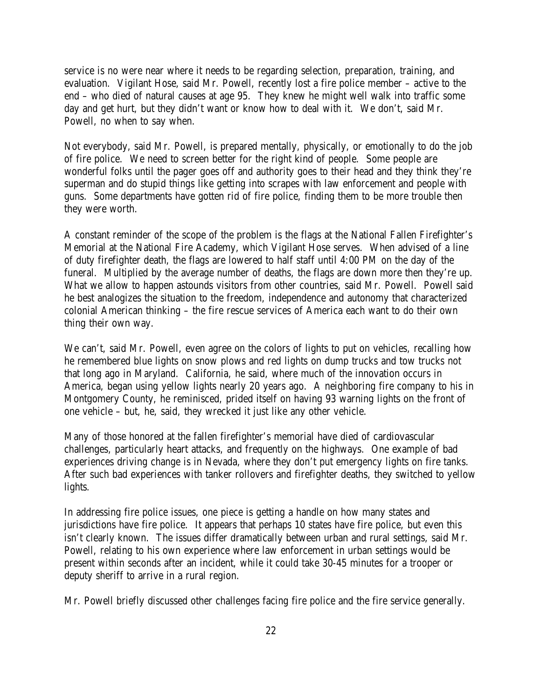service is no were near where it needs to be regarding selection, preparation, training, and evaluation. Vigilant Hose, said Mr. Powell, recently lost a fire police member – active to the end – who died of natural causes at age 95. They knew he might well walk into traffic some day and get hurt, but they didn't want or know how to deal with it. We don't, said Mr. Powell, no when to say when.

Not everybody, said Mr. Powell, is prepared mentally, physically, or emotionally to do the job of fire police. We need to screen better for the right kind of people. Some people are wonderful folks until the pager goes off and authority goes to their head and they think they're superman and do stupid things like getting into scrapes with law enforcement and people with guns. Some departments have gotten rid of fire police, finding them to be more trouble then they were worth.

A constant reminder of the scope of the problem is the flags at the National Fallen Firefighter's Memorial at the National Fire Academy, which Vigilant Hose serves. When advised of a line of duty firefighter death, the flags are lowered to half staff until 4:00 PM on the day of the funeral. Multiplied by the average number of deaths, the flags are down more then they're up. What we allow to happen astounds visitors from other countries, said Mr. Powell. Powell said he best analogizes the situation to the freedom, independence and autonomy that characterized colonial American thinking – the fire rescue services of America each want to do their own thing their own way.

We can't, said Mr. Powell, even agree on the colors of lights to put on vehicles, recalling how he remembered blue lights on snow plows and red lights on dump trucks and tow trucks not that long ago in Maryland. California, he said, where much of the innovation occurs in America, began using yellow lights nearly 20 years ago. A neighboring fire company to his in Montgomery County, he reminisced, prided itself on having 93 warning lights on the front of one vehicle – but, he, said, they wrecked it just like any other vehicle.

Many of those honored at the fallen firefighter's memorial have died of cardiovascular challenges, particularly heart attacks, and frequently on the highways. One example of bad experiences driving change is in Nevada, where they don't put emergency lights on fire tanks. After such bad experiences with tanker rollovers and firefighter deaths, they switched to yellow lights.

In addressing fire police issues, one piece is getting a handle on how many states and jurisdictions have fire police. It appears that perhaps 10 states have fire police, but even this isn't clearly known. The issues differ dramatically between urban and rural settings, said Mr. Powell, relating to his own experience where law enforcement in urban settings would be present within seconds after an incident, while it could take 30-45 minutes for a trooper or deputy sheriff to arrive in a rural region.

Mr. Powell briefly discussed other challenges facing fire police and the fire service generally.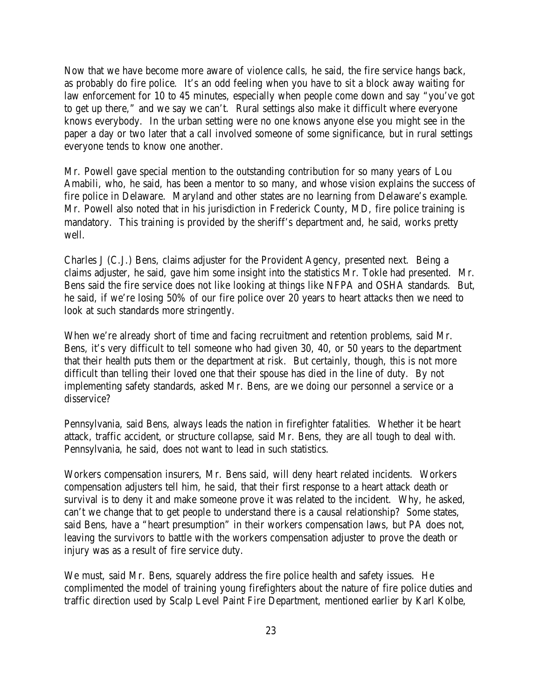Now that we have become more aware of violence calls, he said, the fire service hangs back, as probably do fire police. It's an odd feeling when you have to sit a block away waiting for law enforcement for 10 to 45 minutes, especially when people come down and say "you've got to get up there," and we say we can't. Rural settings also make it difficult where everyone knows everybody. In the urban setting were no one knows anyone else you might see in the paper a day or two later that a call involved someone of some significance, but in rural settings everyone tends to know one another.

Mr. Powell gave special mention to the outstanding contribution for so many years of Lou Amabili, who, he said, has been a mentor to so many, and whose vision explains the success of fire police in Delaware. Maryland and other states are no learning from Delaware's example. Mr. Powell also noted that in his jurisdiction in Frederick County, MD, fire police training is mandatory. This training is provided by the sheriff's department and, he said, works pretty well.

Charles J (C.J.) Bens, claims adjuster for the Provident Agency, presented next. Being a claims adjuster, he said, gave him some insight into the statistics Mr. Tokle had presented. Mr. Bens said the fire service does not like looking at things like NFPA and OSHA standards. But, he said, if we're losing 50% of our fire police over 20 years to heart attacks then we need to look at such standards more stringently.

When we're already short of time and facing recruitment and retention problems, said Mr. Bens, it's very difficult to tell someone who had given 30, 40, or 50 years to the department that their health puts them or the department at risk. But certainly, though, this is not more difficult than telling their loved one that their spouse has died in the line of duty. By not implementing safety standards, asked Mr. Bens, are we doing our personnel a service or a disservice?

Pennsylvania, said Bens, always leads the nation in firefighter fatalities. Whether it be heart attack, traffic accident, or structure collapse, said Mr. Bens, they are all tough to deal with. Pennsylvania, he said, does not want to lead in such statistics.

Workers compensation insurers, Mr. Bens said, will deny heart related incidents. Workers compensation adjusters tell him, he said, that their first response to a heart attack death or survival is to deny it and make someone prove it was related to the incident. Why, he asked, can't we change that to get people to understand there is a causal relationship? Some states, said Bens, have a "heart presumption" in their workers compensation laws, but PA does not, leaving the survivors to battle with the workers compensation adjuster to prove the death or injury was as a result of fire service duty.

We must, said Mr. Bens, squarely address the fire police health and safety issues. He complimented the model of training young firefighters about the nature of fire police duties and traffic direction used by Scalp Level Paint Fire Department, mentioned earlier by Karl Kolbe,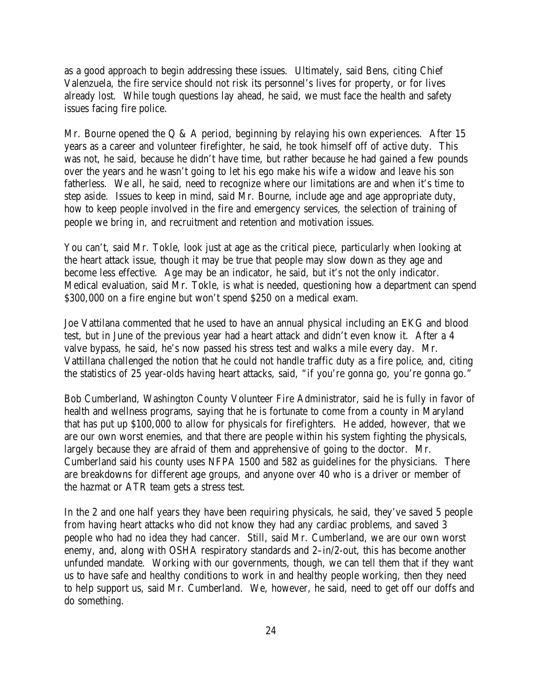as a good approach to begin addressing these issues. Ultimately, said Bens, citing Chief Valenzuela, the fire service should not risk its personnel's lives for property, or for lives already lost. While tough questions lay ahead, he said, we must face the health and safety issues facing fire police.

Mr. Bourne opened the Q & A period, beginning by relaying his own experiences. After 15 years as a career and volunteer firefighter, he said, he took himself off of active duty. This was not, he said, because he didn't have time, but rather because he had gained a few pounds over the years and he wasn't going to let his ego make his wife a widow and leave his son fatherless. We all, he said, need to recognize where our limitations are and when it's time to step aside. Issues to keep in mind, said Mr. Bourne, include age and age appropriate duty, how to keep people involved in the fire and emergency services, the selection of training of people we bring in, and recruitment and retention and motivation issues.

You can't, said Mr. Tokle, look just at age as the critical piece, particularly when looking at the heart attack issue, though it may be true that people may slow down as they age and become less effective. Age may be an indicator, he said, but it's not the only indicator. Medical evaluation, said Mr. Tokle, is what is needed, questioning how a department can spend \$300,000 on a fire engine but won't spend \$250 on a medical exam.

Joe Vattilana commented that he used to have an annual physical including an EKG and blood test, but in June of the previous year had a heart attack and didn't even know it. After a 4 valve bypass, he said, he's now passed his stress test and walks a mile every day. Mr. Vattillana challenged the notion that he could not handle traffic duty as a fire police, and, citing the statistics of 25 year-olds having heart attacks, said, "if you're gonna go, you're gonna go."

Bob Cumberland, Washington County Volunteer Fire Administrator, said he is fully in favor of health and wellness programs, saying that he is fortunate to come from a county in Maryland that has put up \$100,000 to allow for physicals for firefighters. He added, however, that we are our own worst enemies, and that there are people within his system fighting the physicals, largely because they are afraid of them and apprehensive of going to the doctor. Mr. Cumberland said his county uses NFPA 1500 and 582 as guidelines for the physicians. There are breakdowns for different age groups, and anyone over 40 who is a driver or member of the hazmat or ATR team gets a stress test.

In the 2 and one half years they have been requiring physicals, he said, they've saved 5 people from having heart attacks who did not know they had any cardiac problems, and saved 3 people who had no idea they had cancer. Still, said Mr. Cumberland, we are our own worst enemy, and, along with OSHA respiratory standards and 2–in/2-out, this has become another unfunded mandate. Working with our governments, though, we can tell them that if they want us to have safe and healthy conditions to work in and healthy people working, then they need to help support us, said Mr. Cumberland. We, however, he said, need to get off our doffs and do something.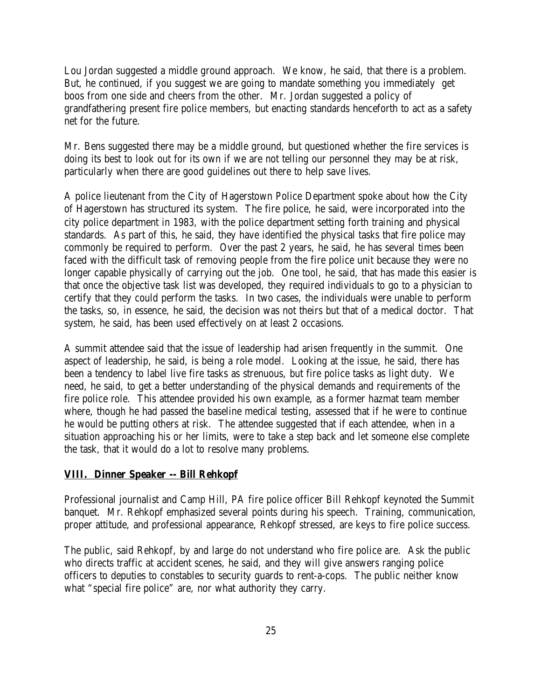Lou Jordan suggested a middle ground approach. We know, he said, that there is a problem. But, he continued, if you suggest we are going to mandate something you immediately get boos from one side and cheers from the other. Mr. Jordan suggested a policy of grandfathering present fire police members, but enacting standards henceforth to act as a safety net for the future.

Mr. Bens suggested there may be a middle ground, but questioned whether the fire services is doing its best to look out for its own if we are not telling our personnel they may be at risk, particularly when there are good guidelines out there to help save lives.

A police lieutenant from the City of Hagerstown Police Department spoke about how the City of Hagerstown has structured its system. The fire police, he said, were incorporated into the city police department in 1983, with the police department setting forth training and physical standards. As part of this, he said, they have identified the physical tasks that fire police may commonly be required to perform. Over the past 2 years, he said, he has several times been faced with the difficult task of removing people from the fire police unit because they were no longer capable physically of carrying out the job. One tool, he said, that has made this easier is that once the objective task list was developed, they required individuals to go to a physician to certify that they could perform the tasks. In two cases, the individuals were unable to perform the tasks, so, in essence, he said, the decision was not theirs but that of a medical doctor. That system, he said, has been used effectively on at least 2 occasions.

A summit attendee said that the issue of leadership had arisen frequently in the summit. One aspect of leadership, he said, is being a role model. Looking at the issue, he said, there has been a tendency to label live fire tasks as strenuous, but fire police tasks as light duty. We need, he said, to get a better understanding of the physical demands and requirements of the fire police role. This attendee provided his own example, as a former hazmat team member where, though he had passed the baseline medical testing, assessed that if he were to continue he would be putting others at risk. The attendee suggested that if each attendee, when in a situation approaching his or her limits, were to take a step back and let someone else complete the task, that it would do a lot to resolve many problems.

#### **VIII. Dinner Speaker -- Bill Rehkopf**

Professional journalist and Camp Hill, PA fire police officer Bill Rehkopf keynoted the Summit banquet. Mr. Rehkopf emphasized several points during his speech. Training, communication, proper attitude, and professional appearance, Rehkopf stressed, are keys to fire police success.

The public, said Rehkopf, by and large do not understand who fire police are. Ask the public who directs traffic at accident scenes, he said, and they will give answers ranging police officers to deputies to constables to security guards to rent-a-cops. The public neither know what "special fire police" are, nor what authority they carry.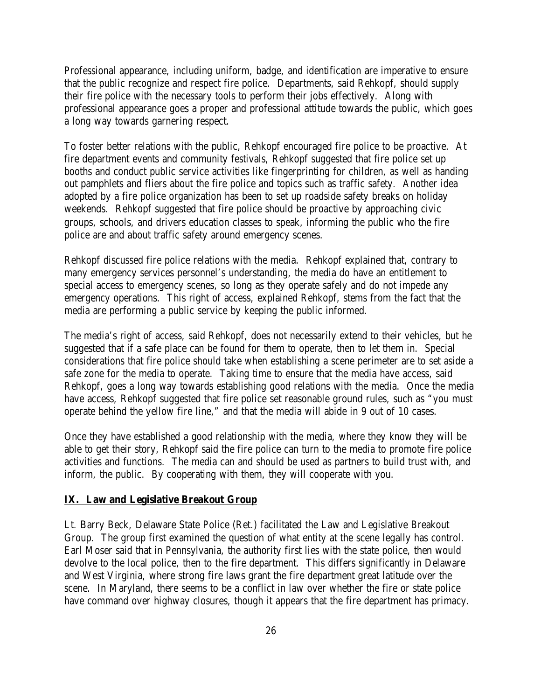Professional appearance, including uniform, badge, and identification are imperative to ensure that the public recognize and respect fire police. Departments, said Rehkopf, should supply their fire police with the necessary tools to perform their jobs effectively. Along with professional appearance goes a proper and professional attitude towards the public, which goes a long way towards garnering respect.

To foster better relations with the public, Rehkopf encouraged fire police to be proactive. At fire department events and community festivals, Rehkopf suggested that fire police set up booths and conduct public service activities like fingerprinting for children, as well as handing out pamphlets and fliers about the fire police and topics such as traffic safety. Another idea adopted by a fire police organization has been to set up roadside safety breaks on holiday weekends. Rehkopf suggested that fire police should be proactive by approaching civic groups, schools, and drivers education classes to speak, informing the public who the fire police are and about traffic safety around emergency scenes.

Rehkopf discussed fire police relations with the media. Rehkopf explained that, contrary to many emergency services personnel's understanding, the media do have an entitlement to special access to emergency scenes, so long as they operate safely and do not impede any emergency operations. This right of access, explained Rehkopf, stems from the fact that the media are performing a public service by keeping the public informed.

The media's right of access, said Rehkopf, does not necessarily extend to their vehicles, but he suggested that if a safe place can be found for them to operate, then to let them in. Special considerations that fire police should take when establishing a scene perimeter are to set aside a safe zone for the media to operate. Taking time to ensure that the media have access, said Rehkopf, goes a long way towards establishing good relations with the media. Once the media have access, Rehkopf suggested that fire police set reasonable ground rules, such as "you must operate behind the yellow fire line," and that the media will abide in 9 out of 10 cases.

Once they have established a good relationship with the media, where they know they will be able to get their story, Rehkopf said the fire police can turn to the media to promote fire police activities and functions. The media can and should be used as partners to build trust with, and inform, the public. By cooperating with them, they will cooperate with you.

#### **IX. Law and Legislative Breakout Group**

Lt. Barry Beck, Delaware State Police (Ret.) facilitated the Law and Legislative Breakout Group. The group first examined the question of what entity at the scene legally has control. Earl Moser said that in Pennsylvania, the authority first lies with the state police, then would devolve to the local police, then to the fire department. This differs significantly in Delaware and West Virginia, where strong fire laws grant the fire department great latitude over the scene. In Maryland, there seems to be a conflict in law over whether the fire or state police have command over highway closures, though it appears that the fire department has primacy.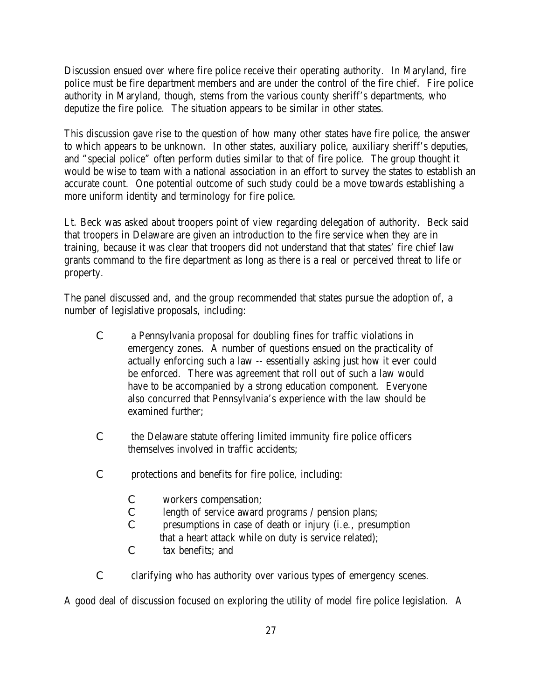Discussion ensued over where fire police receive their operating authority. In Maryland, fire police must be fire department members and are under the control of the fire chief. Fire police authority in Maryland, though, stems from the various county sheriff's departments, who deputize the fire police. The situation appears to be similar in other states.

This discussion gave rise to the question of how many other states have fire police, the answer to which appears to be unknown. In other states, auxiliary police, auxiliary sheriff's deputies, and "special police" often perform duties similar to that of fire police. The group thought it would be wise to team with a national association in an effort to survey the states to establish an accurate count. One potential outcome of such study could be a move towards establishing a more uniform identity and terminology for fire police.

Lt. Beck was asked about troopers point of view regarding delegation of authority. Beck said that troopers in Delaware are given an introduction to the fire service when they are in training, because it was clear that troopers did not understand that that states' fire chief law grants command to the fire department as long as there is a real or perceived threat to life or property.

The panel discussed and, and the group recommended that states pursue the adoption of, a number of legislative proposals, including:

- C a Pennsylvania proposal for doubling fines for traffic violations in emergency zones. A number of questions ensued on the practicality of actually enforcing such a law -- essentially asking just how it ever could be enforced. There was agreement that roll out of such a law would have to be accompanied by a strong education component. Everyone also concurred that Pennsylvania's experience with the law should be examined further;
- C the Delaware statute offering limited immunity fire police officers themselves involved in traffic accidents;
- C protections and benefits for fire police, including:
	- C workers compensation;
	- C length of service award programs / pension plans;
	- C presumptions in case of death or injury (i.e., presumption that a heart attack while on duty is service related);
	- C tax benefits; and
- C clarifying who has authority over various types of emergency scenes.

A good deal of discussion focused on exploring the utility of model fire police legislation. A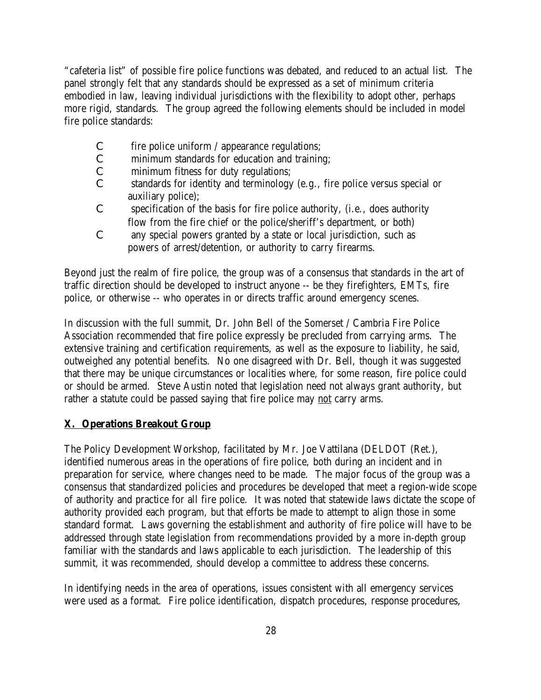"cafeteria list" of possible fire police functions was debated, and reduced to an actual list. The panel strongly felt that any standards should be expressed as a set of minimum criteria embodied in law, leaving individual jurisdictions with the flexibility to adopt other, perhaps more rigid, standards. The group agreed the following elements should be included in model fire police standards:

- C fire police uniform / appearance regulations;
- C minimum standards for education and training;
- C minimum fitness for duty regulations;
- C standards for identity and terminology (e.g., fire police versus special or auxiliary police);
- C specification of the basis for fire police authority, (i.e., does authority flow from the fire chief or the police/sheriff's department, or both)
- C any special powers granted by a state or local jurisdiction, such as powers of arrest/detention, or authority to carry firearms.

Beyond just the realm of fire police, the group was of a consensus that standards in the art of traffic direction should be developed to instruct anyone -- be they firefighters, EMTs, fire police, or otherwise -- who operates in or directs traffic around emergency scenes.

In discussion with the full summit, Dr. John Bell of the Somerset / Cambria Fire Police Association recommended that fire police expressly be precluded from carrying arms. The extensive training and certification requirements, as well as the exposure to liability, he said, outweighed any potential benefits. No one disagreed with Dr. Bell, though it was suggested that there may be unique circumstances or localities where, for some reason, fire police could or should be armed. Steve Austin noted that legislation need not always grant authority, but rather a statute could be passed saying that fire police may not carry arms.

#### **X. Operations Breakout Group**

The Policy Development Workshop, facilitated by Mr. Joe Vattilana (DELDOT (Ret.), identified numerous areas in the operations of fire police, both during an incident and in preparation for service, where changes need to be made. The major focus of the group was a consensus that standardized policies and procedures be developed that meet a region-wide scope of authority and practice for all fire police. It was noted that statewide laws dictate the scope of authority provided each program, but that efforts be made to attempt to align those in some standard format. Laws governing the establishment and authority of fire police will have to be addressed through state legislation from recommendations provided by a more in-depth group familiar with the standards and laws applicable to each jurisdiction. The leadership of this summit, it was recommended, should develop a committee to address these concerns.

In identifying needs in the area of operations, issues consistent with all emergency services were used as a format. Fire police identification, dispatch procedures, response procedures,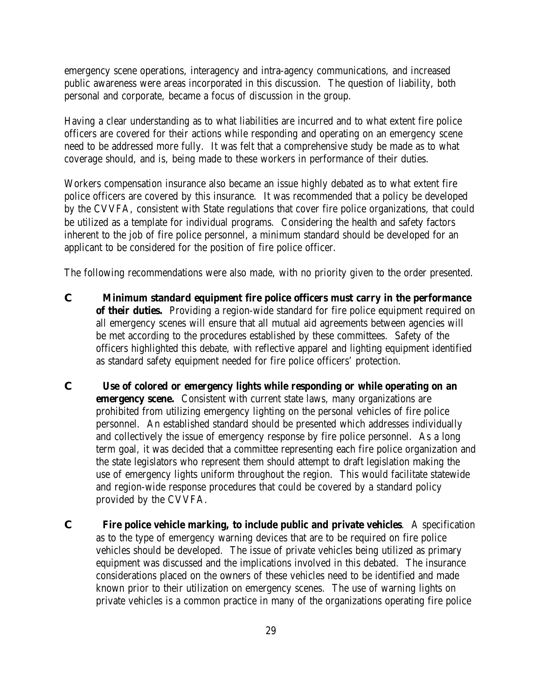emergency scene operations, interagency and intra-agency communications, and increased public awareness were areas incorporated in this discussion. The question of liability, both personal and corporate, became a focus of discussion in the group.

Having a clear understanding as to what liabilities are incurred and to what extent fire police officers are covered for their actions while responding and operating on an emergency scene need to be addressed more fully. It was felt that a comprehensive study be made as to what coverage should, and is, being made to these workers in performance of their duties.

Workers compensation insurance also became an issue highly debated as to what extent fire police officers are covered by this insurance. It was recommended that a policy be developed by the CVVFA, consistent with State regulations that cover fire police organizations, that could be utilized as a template for individual programs. Considering the health and safety factors inherent to the job of fire police personnel, a minimum standard should be developed for an applicant to be considered for the position of fire police officer.

The following recommendations were also made, with no priority given to the order presented.

- **C Minimum standard equipment fire police officers must carry in the performance of their duties.** Providing a region-wide standard for fire police equipment required on all emergency scenes will ensure that all mutual aid agreements between agencies will be met according to the procedures established by these committees. Safety of the officers highlighted this debate, with reflective apparel and lighting equipment identified as standard safety equipment needed for fire police officers' protection.
- **C Use of colored or emergency lights while responding or while operating on an emergency scene.** Consistent with current state laws, many organizations are prohibited from utilizing emergency lighting on the personal vehicles of fire police personnel. An established standard should be presented which addresses individually and collectively the issue of emergency response by fire police personnel. As a long term goal, it was decided that a committee representing each fire police organization and the state legislators who represent them should attempt to draft legislation making the use of emergency lights uniform throughout the region. This would facilitate statewide and region-wide response procedures that could be covered by a standard policy provided by the CVVFA.
- **C Fire police vehicle marking, to include public and private vehicles**. A specification as to the type of emergency warning devices that are to be required on fire police vehicles should be developed. The issue of private vehicles being utilized as primary equipment was discussed and the implications involved in this debated. The insurance considerations placed on the owners of these vehicles need to be identified and made known prior to their utilization on emergency scenes. The use of warning lights on private vehicles is a common practice in many of the organizations operating fire police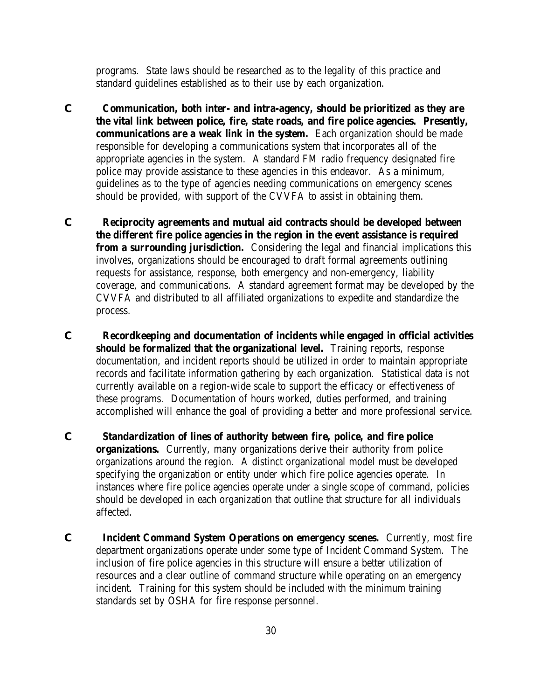programs. State laws should be researched as to the legality of this practice and standard guidelines established as to their use by each organization.

- **C Communication, both inter- and intra-agency, should be prioritized as they are the vital link between police, fire, state roads, and fire police agencies. Presently, communications are a weak link in the system.** Each organization should be made responsible for developing a communications system that incorporates all of the appropriate agencies in the system. A standard FM radio frequency designated fire police may provide assistance to these agencies in this endeavor. As a minimum, guidelines as to the type of agencies needing communications on emergency scenes should be provided, with support of the CVVFA to assist in obtaining them.
- **C Reciprocity agreements and mutual aid contracts should be developed between the different fire police agencies in the region in the event assistance is required from a surrounding jurisdiction.** Considering the legal and financial implications this involves, organizations should be encouraged to draft formal agreements outlining requests for assistance, response, both emergency and non-emergency, liability coverage, and communications. A standard agreement format may be developed by the CVVFA and distributed to all affiliated organizations to expedite and standardize the process.
- **C Recordkeeping and documentation of incidents while engaged in official activities should be formalized that the organizational level.** Training reports, response documentation, and incident reports should be utilized in order to maintain appropriate records and facilitate information gathering by each organization. Statistical data is not currently available on a region-wide scale to support the efficacy or effectiveness of these programs. Documentation of hours worked, duties performed, and training accomplished will enhance the goal of providing a better and more professional service.
- **C Standardization of lines of authority between fire, police, and fire police organizations.** Currently, many organizations derive their authority from police organizations around the region. A distinct organizational model must be developed specifying the organization or entity under which fire police agencies operate. In instances where fire police agencies operate under a single scope of command, policies should be developed in each organization that outline that structure for all individuals affected.
- **C Incident Command System Operations on emergency scenes.** Currently, most fire department organizations operate under some type of Incident Command System. The inclusion of fire police agencies in this structure will ensure a better utilization of resources and a clear outline of command structure while operating on an emergency incident. Training for this system should be included with the minimum training standards set by OSHA for fire response personnel.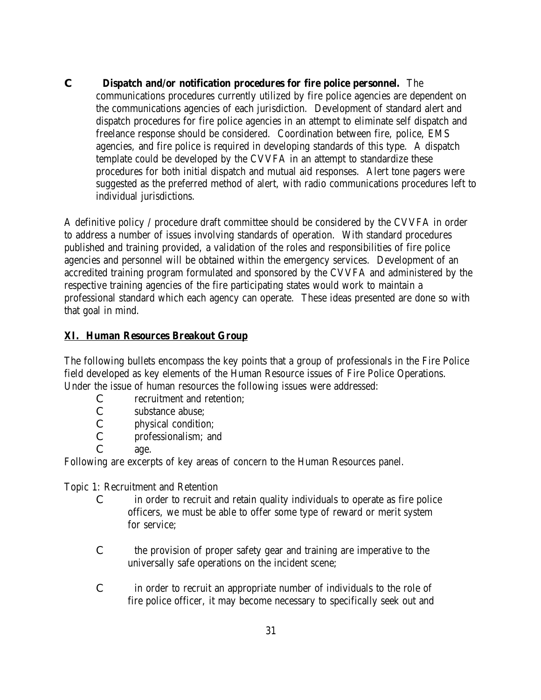**C Dispatch and/or notification procedures for fire police personnel.** The communications procedures currently utilized by fire police agencies are dependent on the communications agencies of each jurisdiction. Development of standard alert and dispatch procedures for fire police agencies in an attempt to eliminate self dispatch and freelance response should be considered. Coordination between fire, police, EMS agencies, and fire police is required in developing standards of this type. A dispatch template could be developed by the CVVFA in an attempt to standardize these procedures for both initial dispatch and mutual aid responses. Alert tone pagers were suggested as the preferred method of alert, with radio communications procedures left to individual jurisdictions.

A definitive policy / procedure draft committee should be considered by the CVVFA in order to address a number of issues involving standards of operation. With standard procedures published and training provided, a validation of the roles and responsibilities of fire police agencies and personnel will be obtained within the emergency services. Development of an accredited training program formulated and sponsored by the CVVFA and administered by the respective training agencies of the fire participating states would work to maintain a professional standard which each agency can operate. These ideas presented are done so with that goal in mind.

### **XI. Human Resources Breakout Group**

The following bullets encompass the key points that a group of professionals in the Fire Police field developed as key elements of the Human Resource issues of Fire Police Operations. Under the issue of human resources the following issues were addressed:

- C recruitment and retention;
- C substance abuse;
- C physical condition;
- C professionalism; and
- C age.

Following are excerpts of key areas of concern to the Human Resources panel.

Topic 1: Recruitment and Retention

- C in order to recruit and retain quality individuals to operate as fire police officers, we must be able to offer some type of reward or merit system for service;
- C the provision of proper safety gear and training are imperative to the universally safe operations on the incident scene;
- C in order to recruit an appropriate number of individuals to the role of fire police officer, it may become necessary to specifically seek out and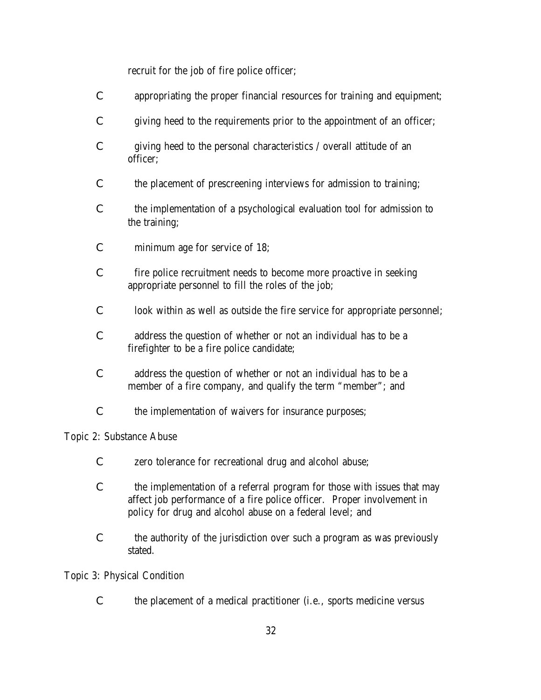recruit for the job of fire police officer;

- C appropriating the proper financial resources for training and equipment;
- C giving heed to the requirements prior to the appointment of an officer;
- C giving heed to the personal characteristics / overall attitude of an officer;
- C the placement of prescreening interviews for admission to training;
- C the implementation of a psychological evaluation tool for admission to the training;
- C minimum age for service of 18;
- C fire police recruitment needs to become more proactive in seeking appropriate personnel to fill the roles of the job;
- C look within as well as outside the fire service for appropriate personnel;
- C address the question of whether or not an individual has to be a firefighter to be a fire police candidate;
- C address the question of whether or not an individual has to be a member of a fire company, and qualify the term "member"; and
- C the implementation of waivers for insurance purposes;

Topic 2: Substance Abuse

- C zero tolerance for recreational drug and alcohol abuse;
- C the implementation of a referral program for those with issues that may affect job performance of a fire police officer. Proper involvement in policy for drug and alcohol abuse on a federal level; and
- C the authority of the jurisdiction over such a program as was previously stated.

Topic 3: Physical Condition

C the placement of a medical practitioner (i.e., sports medicine versus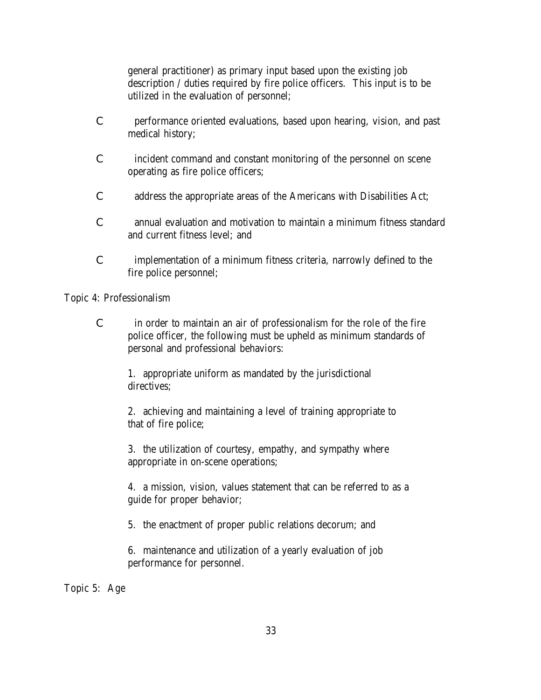general practitioner) as primary input based upon the existing job description / duties required by fire police officers. This input is to be utilized in the evaluation of personnel;

- C performance oriented evaluations, based upon hearing, vision, and past medical history;
- C incident command and constant monitoring of the personnel on scene operating as fire police officers;
- C address the appropriate areas of the Americans with Disabilities Act;
- C annual evaluation and motivation to maintain a minimum fitness standard and current fitness level; and
- C implementation of a minimum fitness criteria, narrowly defined to the fire police personnel;

Topic 4: Professionalism

C in order to maintain an air of professionalism for the role of the fire police officer, the following must be upheld as minimum standards of personal and professional behaviors:

1. appropriate uniform as mandated by the jurisdictional directives;

2. achieving and maintaining a level of training appropriate to that of fire police;

3. the utilization of courtesy, empathy, and sympathy where appropriate in on-scene operations;

4. a mission, vision, values statement that can be referred to as a guide for proper behavior;

5. the enactment of proper public relations decorum; and

6. maintenance and utilization of a yearly evaluation of job performance for personnel.

Topic 5: Age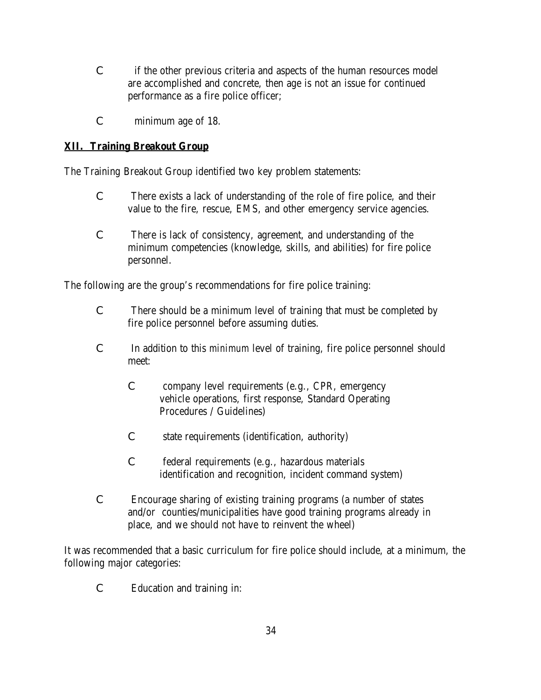- C if the other previous criteria and aspects of the human resources model are accomplished and concrete, then age is not an issue for continued performance as a fire police officer;
- C minimum age of 18.

## **XII. Training Breakout Group**

The Training Breakout Group identified two key problem statements:

- C There exists a lack of understanding of the role of fire police, and their value to the fire, rescue, EMS, and other emergency service agencies.
- C There is lack of consistency, agreement, and understanding of the minimum competencies (knowledge, skills, and abilities) for fire police personnel.

The following are the group's recommendations for fire police training:

- C There should be a minimum level of training that must be completed by fire police personnel before assuming duties.
- C In addition to this *minimum* level of training, fire police personnel should meet:
	- C company level requirements (e.g., CPR, emergency vehicle operations, first response, Standard Operating Procedures / Guidelines)
	- C state requirements (identification, authority)
	- C federal requirements (e.g., hazardous materials identification and recognition, incident command system)
- C Encourage sharing of existing training programs (a number of states and/or counties/municipalities have good training programs already in place, and we should not have to reinvent the wheel)

It was recommended that a basic curriculum for fire police should include, at a minimum, the following major categories:

C Education and training in: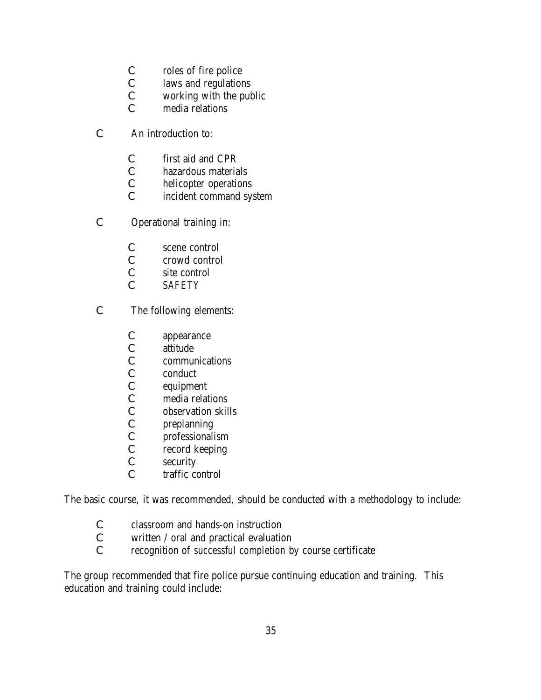- C roles of fire police
- C laws and regulations
- C working with the public
- C media relations
- C An introduction to:
	- C first aid and CPR
	- C hazardous materials
	- C helicopter operations
	- C incident command system
- C Operational training in:
	- C scene control
	- C crowd control
	- C site control
	- C *SAFETY*
- C The following elements:
	- C appearance
	- C attitude
	- C communications
	- C conduct
	- C equipment
	-
	- C media relations<br>C observation skil observation skills
	- C preplanning
	- C professionalism<br>C record keeping
	- record keeping
	- C security
	- C traffic control

The basic course, it was recommended, should be conducted with a methodology to include:

- C classroom and hands-on instruction
- C written / oral and practical evaluation
- C recognition of *successful completion* by course certificate

The group recommended that fire police pursue continuing education and training. This education and training could include: